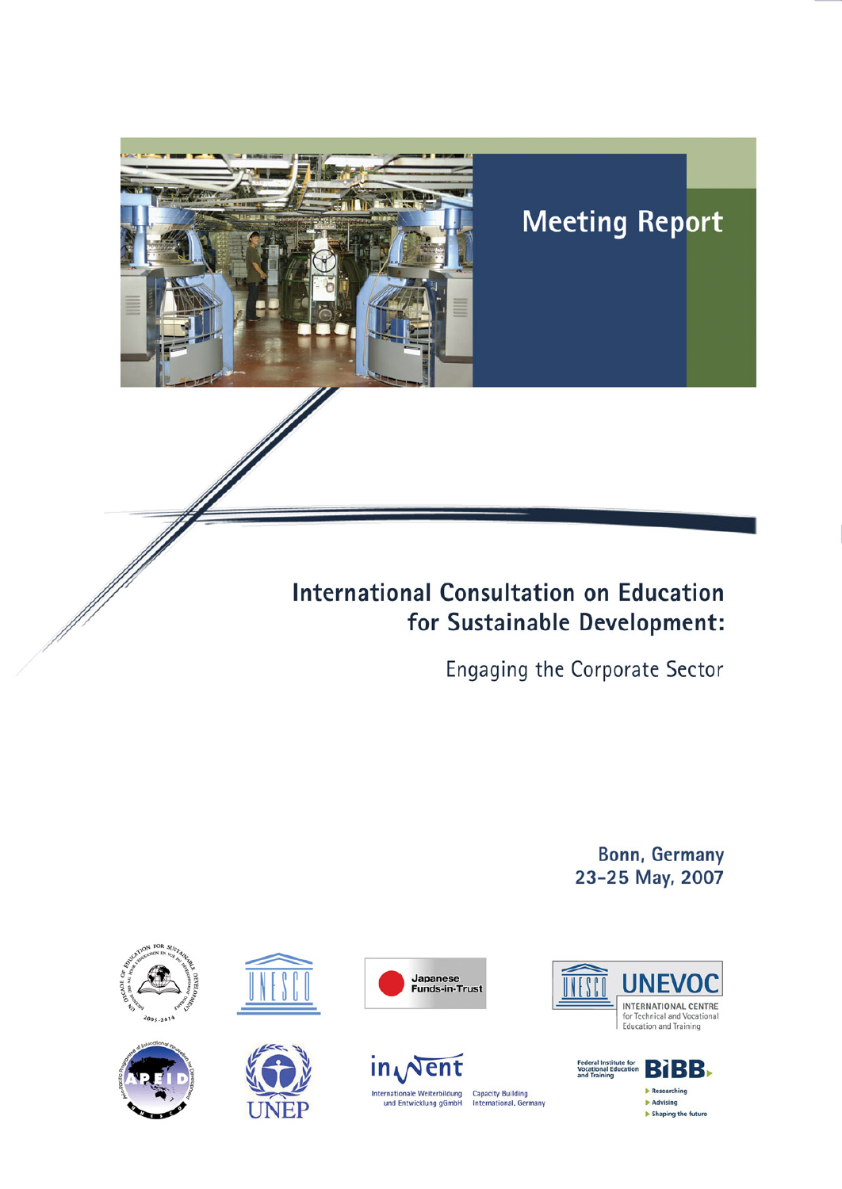

# **Meeting Report**

# **International Consultation on Education** for Sustainable Development:

Engaging the Corporate Sector

**Bonn, Germany** 23-25 May, 2007



















**Capacity Building<br>International, Germany**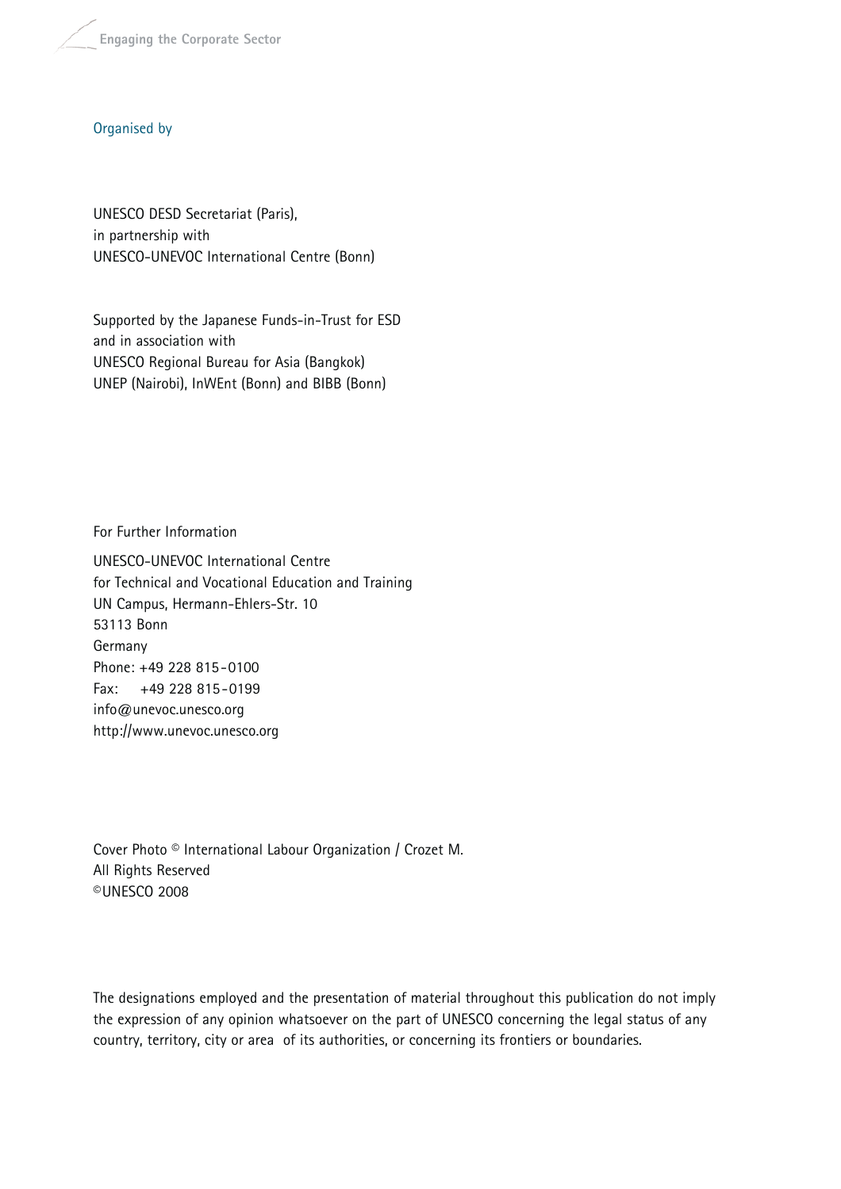**Engaging the Corporate Sector**

#### Organised by

UNESCO DESD Secretariat (Paris), in partnership with UNESCO-UNEVOC International Centre (Bonn)

Supported by the Japanese Funds-in-Trust for ESD and in association with UNESCO Regional Bureau for Asia (Bangkok) UNEP (Nairobi), InWEnt (Bonn) and BIBB (Bonn)

For Further Information

UNESCO-UNEVOC International Centre for Technical and Vocational Education and Training UN Campus, Hermann-Ehlers-Str. 10 53113 Bonn Germany Phone: +49 228 815-0100 Fax: +49 228 815-0199 info@unevoc.unesco.org http://www.unevoc.unesco.org

Cover Photo © International Labour Organization / Crozet M. All Rights Reserved ©UNESCO 2008

The designations employed and the presentation of material throughout this publication do not imply the expression of any opinion whatsoever on the part of UNESCO concerning the legal status of any country, territory, city or area of its authorities, or concerning its frontiers or boundaries.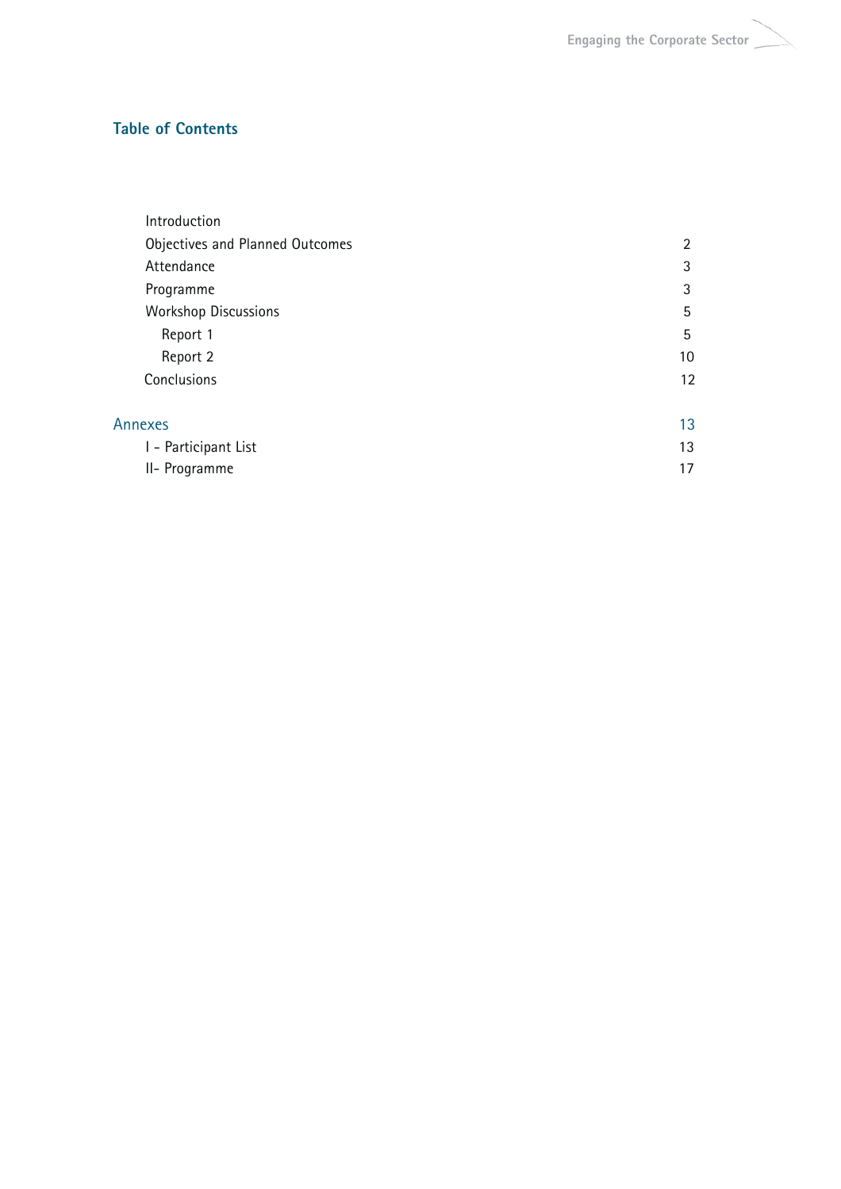## **Table of Contents**

| Introduction                    |                |
|---------------------------------|----------------|
| Objectives and Planned Outcomes | $\overline{2}$ |
| Attendance                      | 3              |
| Programme                       | 3              |
| <b>Workshop Discussions</b>     | 5              |
| Report 1                        | 5              |
| Report 2                        | 10             |
| Conclusions                     | 12             |
| Annexes                         | 13             |
| I - Participant List            | 13             |
| II- Programme                   | 17             |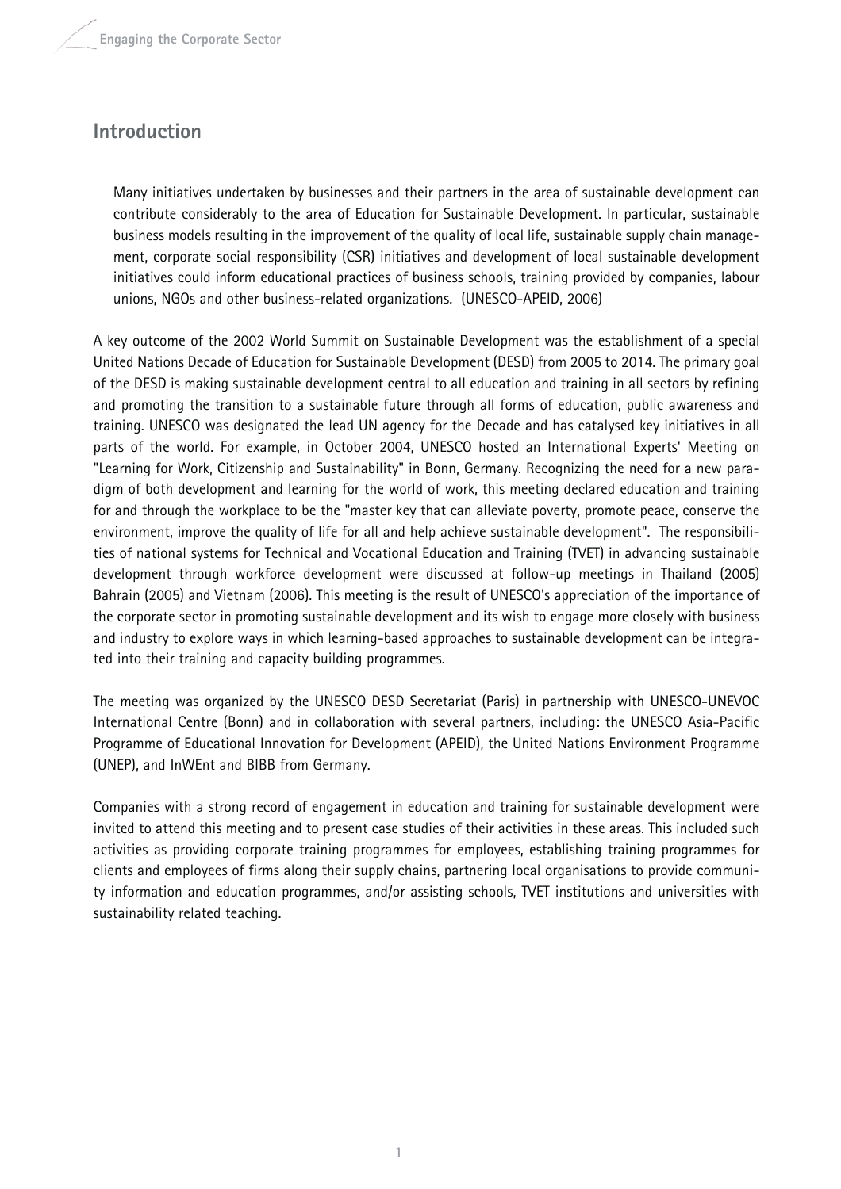## **Introduction**

Many initiatives undertaken by businesses and their partners in the area of sustainable development can contribute considerably to the area of Education for Sustainable Development. In particular, sustainable business models resulting in the improvement of the quality of local life, sustainable supply chain management, corporate social responsibility (CSR) initiatives and development of local sustainable development initiatives could inform educational practices of business schools, training provided by companies, labour unions, NGOs and other business-related organizations. (UNESCO-APEID, 2006)

A key outcome of the 2002 World Summit on Sustainable Development was the establishment of a special United Nations Decade of Education for Sustainable Development (DESD) from 2005 to 2014. The primary goal of the DESD is making sustainable development central to all education and training in all sectors by refining and promoting the transition to a sustainable future through all forms of education, public awareness and training. UNESCO was designated the lead UN agency for the Decade and has catalysed key initiatives in all parts of the world. For example, in October 2004, UNESCO hosted an International Experts' Meeting on "Learning for Work, Citizenship and Sustainability" in Bonn, Germany. Recognizing the need for a new paradigm of both development and learning for the world of work, this meeting declared education and training for and through the workplace to be the "master key that can alleviate poverty, promote peace, conserve the environment, improve the quality of life for all and help achieve sustainable development". The responsibilities of national systems for Technical and Vocational Education and Training (TVET) in advancing sustainable development through workforce development were discussed at follow-up meetings in Thailand (2005) Bahrain (2005) and Vietnam (2006). This meeting is the result of UNESCO's appreciation of the importance of the corporate sector in promoting sustainable development and its wish to engage more closely with business and industry to explore ways in which learning-based approaches to sustainable development can be integrated into their training and capacity building programmes.

The meeting was organized by the UNESCO DESD Secretariat (Paris) in partnership with UNESCO-UNEVOC International Centre (Bonn) and in collaboration with several partners, including: the UNESCO Asia-Pacific Programme of Educational Innovation for Development (APEID), the United Nations Environment Programme (UNEP), and InWEnt and BIBB from Germany.

Companies with a strong record of engagement in education and training for sustainable development were invited to attend this meeting and to present case studies of their activities in these areas. This included such activities as providing corporate training programmes for employees, establishing training programmes for clients and employees of firms along their supply chains, partnering local organisations to provide community information and education programmes, and/or assisting schools, TVET institutions and universities with sustainability related teaching.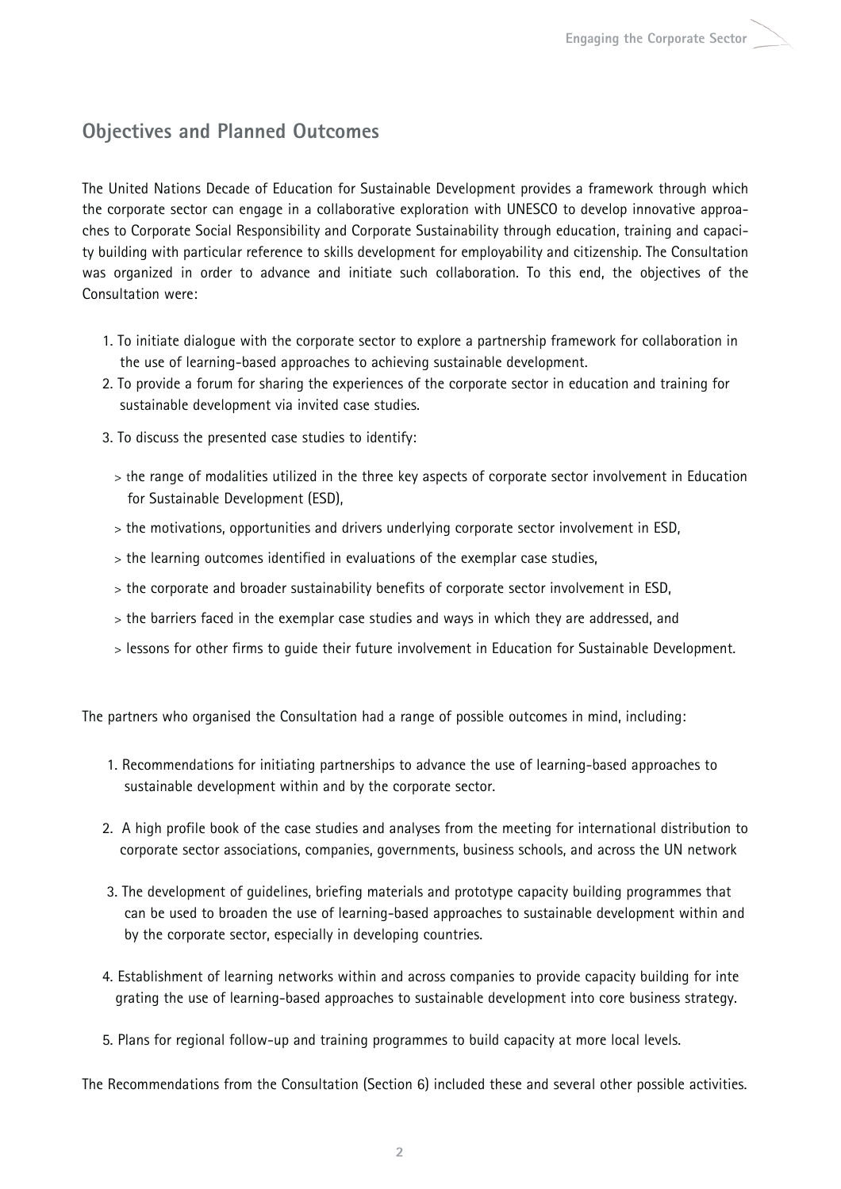## **Objectives and Planned Outcomes**

The United Nations Decade of Education for Sustainable Development provides a framework through which the corporate sector can engage in a collaborative exploration with UNESCO to develop innovative approaches to Corporate Social Responsibility and Corporate Sustainability through education, training and capacity building with particular reference to skills development for employability and citizenship. The Consultation was organized in order to advance and initiate such collaboration. To this end, the objectives of the Consultation were:

- 1. To initiate dialogue with the corporate sector to explore a partnership framework for collaboration in the use of learning-based approaches to achieving sustainable development.
- 2. To provide a forum for sharing the experiences of the corporate sector in education and training for sustainable development via invited case studies.
- 3. To discuss the presented case studies to identify:
	- > the range of modalities utilized in the three key aspects of corporate sector involvement in Education for Sustainable Development (ESD),
	- > the motivations, opportunities and drivers underlying corporate sector involvement in ESD,
	- > the learning outcomes identified in evaluations of the exemplar case studies,
	- > the corporate and broader sustainability benefits of corporate sector involvement in ESD,
	- > the barriers faced in the exemplar case studies and ways in which they are addressed, and
	- > lessons for other firms to guide their future involvement in Education for Sustainable Development.

The partners who organised the Consultation had a range of possible outcomes in mind, including:

- 1. Recommendations for initiating partnerships to advance the use of learning-based approaches to sustainable development within and by the corporate sector.
- 2. A high profile book of the case studies and analyses from the meeting for international distribution to corporate sector associations, companies, governments, business schools, and across the UN network
- 3. The development of guidelines, briefing materials and prototype capacity building programmes that can be used to broaden the use of learning-based approaches to sustainable development within and by the corporate sector, especially in developing countries.
- 4. Establishment of learning networks within and across companies to provide capacity building for inte grating the use of learning-based approaches to sustainable development into core business strategy.
- 5. Plans for regional follow-up and training programmes to build capacity at more local levels.

The Recommendations from the Consultation (Section 6) included these and several other possible activities.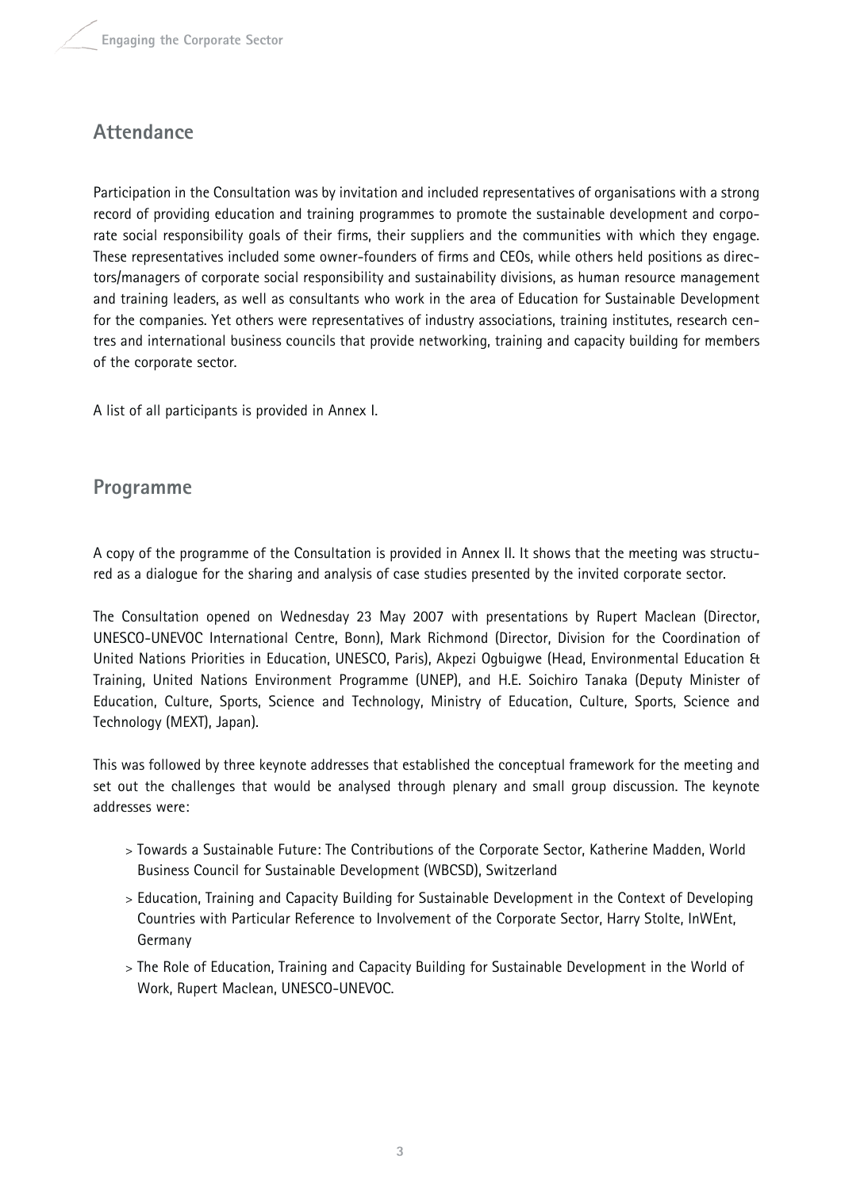## **Attendance**

Participation in the Consultation was by invitation and included representatives of organisations with a strong record of providing education and training programmes to promote the sustainable development and corporate social responsibility goals of their firms, their suppliers and the communities with which they engage. These representatives included some owner-founders of firms and CEOs, while others held positions as directors/managers of corporate social responsibility and sustainability divisions, as human resource management and training leaders, as well as consultants who work in the area of Education for Sustainable Development for the companies. Yet others were representatives of industry associations, training institutes, research centres and international business councils that provide networking, training and capacity building for members of the corporate sector.

A list of all participants is provided in Annex I.

## **Programme**

A copy of the programme of the Consultation is provided in Annex II. It shows that the meeting was structured as a dialogue for the sharing and analysis of case studies presented by the invited corporate sector.

The Consultation opened on Wednesday 23 May 2007 with presentations by Rupert Maclean (Director, UNESCO-UNEVOC International Centre, Bonn), Mark Richmond (Director, Division for the Coordination of United Nations Priorities in Education, UNESCO, Paris), Akpezi Ogbuigwe (Head, Environmental Education & Training, United Nations Environment Programme (UNEP), and H.E. Soichiro Tanaka (Deputy Minister of Education, Culture, Sports, Science and Technology, Ministry of Education, Culture, Sports, Science and Technology (MEXT), Japan).

This was followed by three keynote addresses that established the conceptual framework for the meeting and set out the challenges that would be analysed through plenary and small group discussion. The keynote addresses were:

- > Towards a Sustainable Future: The Contributions of the Corporate Sector, Katherine Madden, World Business Council for Sustainable Development (WBCSD), Switzerland
- > Education, Training and Capacity Building for Sustainable Development in the Context of Developing Countries with Particular Reference to Involvement of the Corporate Sector, Harry Stolte, InWEnt, Germany
- > The Role of Education, Training and Capacity Building for Sustainable Development in the World of Work, Rupert Maclean, UNESCO-UNEVOC.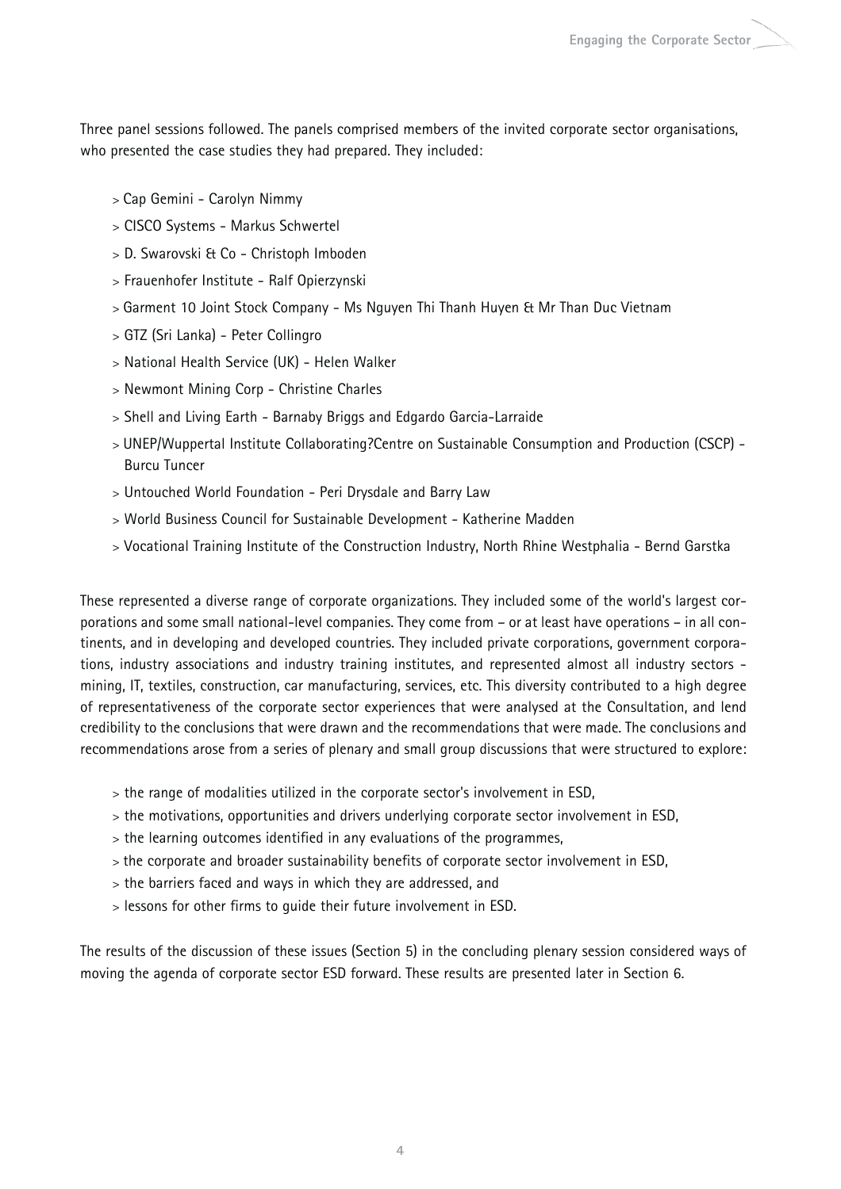Three panel sessions followed. The panels comprised members of the invited corporate sector organisations, who presented the case studies they had prepared. They included:

- > Cap Gemini Carolyn Nimmy
- > CISCO Systems Markus Schwertel
- > D. Swarovski & Co Christoph Imboden
- > Frauenhofer Institute Ralf Opierzynski
- > Garment 10 Joint Stock Company Ms Nguyen Thi Thanh Huyen & Mr Than Duc Vietnam
- > GTZ (Sri Lanka) Peter Collingro
- > National Health Service (UK) Helen Walker
- > Newmont Mining Corp Christine Charles
- > Shell and Living Earth Barnaby Briggs and Edgardo Garcia-Larraide
- > UNEP/Wuppertal Institute Collaborating?Centre on Sustainable Consumption and Production (CSCP) Burcu Tuncer
- > Untouched World Foundation Peri Drysdale and Barry Law
- > World Business Council for Sustainable Development Katherine Madden
- > Vocational Training Institute of the Construction Industry, North Rhine Westphalia Bernd Garstka

These represented a diverse range of corporate organizations. They included some of the world's largest corporations and some small national-level companies. They come from – or at least have operations – in all continents, and in developing and developed countries. They included private corporations, government corporations, industry associations and industry training institutes, and represented almost all industry sectors mining, IT, textiles, construction, car manufacturing, services, etc. This diversity contributed to a high degree of representativeness of the corporate sector experiences that were analysed at the Consultation, and lend credibility to the conclusions that were drawn and the recommendations that were made. The conclusions and recommendations arose from a series of plenary and small group discussions that were structured to explore:

- > the range of modalities utilized in the corporate sector's involvement in ESD,
- > the motivations, opportunities and drivers underlying corporate sector involvement in ESD,
- > the learning outcomes identified in any evaluations of the programmes,
- > the corporate and broader sustainability benefits of corporate sector involvement in ESD,
- > the barriers faced and ways in which they are addressed, and
- > lessons for other firms to guide their future involvement in ESD.

The results of the discussion of these issues (Section 5) in the concluding plenary session considered ways of moving the agenda of corporate sector ESD forward. These results are presented later in Section 6.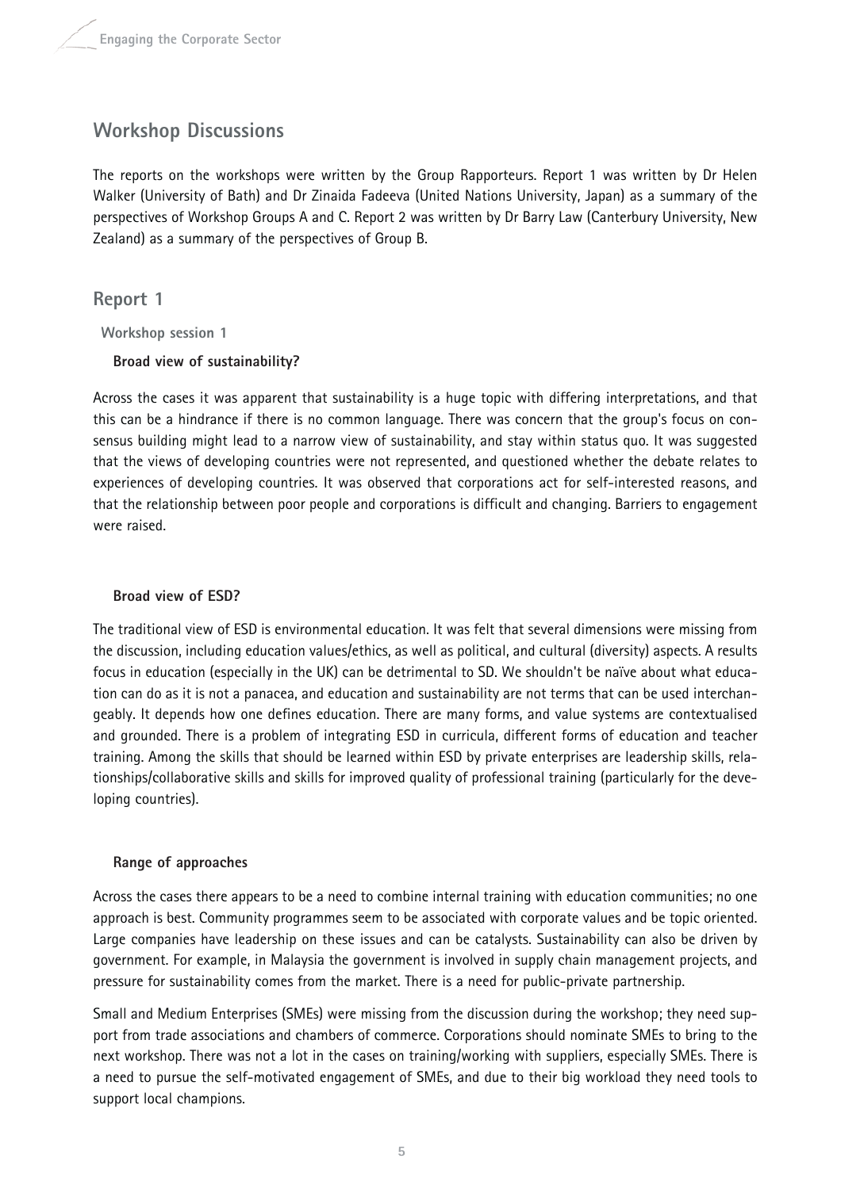## **Workshop Discussions**

The reports on the workshops were written by the Group Rapporteurs. Report 1 was written by Dr Helen Walker (University of Bath) and Dr Zinaida Fadeeva (United Nations University, Japan) as a summary of the perspectives of Workshop Groups A and C. Report 2 was written by Dr Barry Law (Canterbury University, New Zealand) as a summary of the perspectives of Group B.

## **Report 1**

**Workshop session 1** 

## **Broad view of sustainability?**

Across the cases it was apparent that sustainability is a huge topic with differing interpretations, and that this can be a hindrance if there is no common language. There was concern that the group's focus on consensus building might lead to a narrow view of sustainability, and stay within status quo. It was suggested that the views of developing countries were not represented, and questioned whether the debate relates to experiences of developing countries. It was observed that corporations act for self-interested reasons, and that the relationship between poor people and corporations is difficult and changing. Barriers to engagement were raised.

## **Broad view of ESD?**

The traditional view of ESD is environmental education. It was felt that several dimensions were missing from the discussion, including education values/ethics, as well as political, and cultural (diversity) aspects. A results focus in education (especially in the UK) can be detrimental to SD. We shouldn't be naïve about what education can do as it is not a panacea, and education and sustainability are not terms that can be used interchangeably. It depends how one defines education. There are many forms, and value systems are contextualised and grounded. There is a problem of integrating ESD in curricula, different forms of education and teacher training. Among the skills that should be learned within ESD by private enterprises are leadership skills, relationships/collaborative skills and skills for improved quality of professional training (particularly for the developing countries).

## **Range of approaches**

Across the cases there appears to be a need to combine internal training with education communities; no one approach is best. Community programmes seem to be associated with corporate values and be topic oriented. Large companies have leadership on these issues and can be catalysts. Sustainability can also be driven by government. For example, in Malaysia the government is involved in supply chain management projects, and pressure for sustainability comes from the market. There is a need for public-private partnership.

Small and Medium Enterprises (SMEs) were missing from the discussion during the workshop; they need support from trade associations and chambers of commerce. Corporations should nominate SMEs to bring to the next workshop. There was not a lot in the cases on training/working with suppliers, especially SMEs. There is a need to pursue the self-motivated engagement of SMEs, and due to their big workload they need tools to support local champions.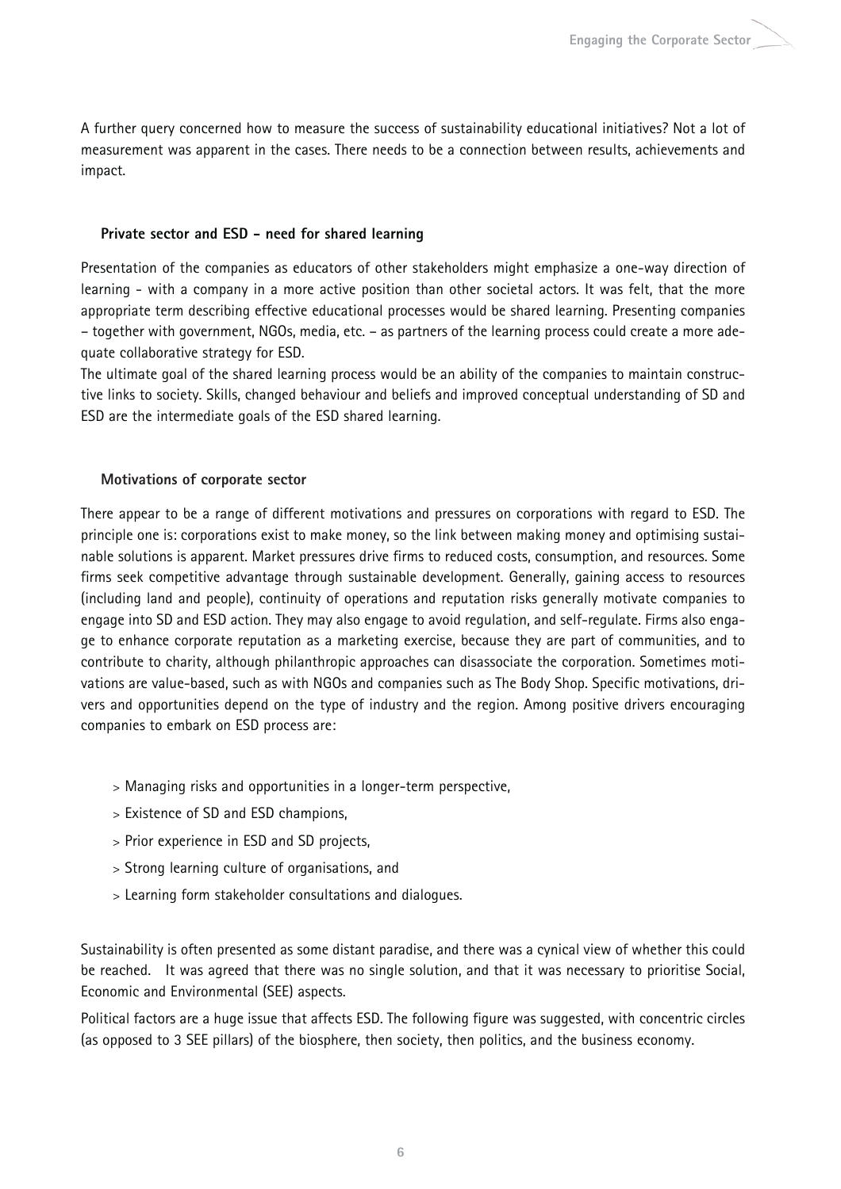A further query concerned how to measure the success of sustainability educational initiatives? Not a lot of measurement was apparent in the cases. There needs to be a connection between results, achievements and impact.

#### **Private sector and ESD - need for shared learning**

Presentation of the companies as educators of other stakeholders might emphasize a one-way direction of learning - with a company in a more active position than other societal actors. It was felt, that the more appropriate term describing effective educational processes would be shared learning. Presenting companies – together with government, NGOs, media, etc. – as partners of the learning process could create a more adequate collaborative strategy for ESD.

The ultimate goal of the shared learning process would be an ability of the companies to maintain constructive links to society. Skills, changed behaviour and beliefs and improved conceptual understanding of SD and ESD are the intermediate goals of the ESD shared learning.

### **Motivations of corporate sector**

There appear to be a range of different motivations and pressures on corporations with regard to ESD. The principle one is: corporations exist to make money, so the link between making money and optimising sustainable solutions is apparent. Market pressures drive firms to reduced costs, consumption, and resources. Some firms seek competitive advantage through sustainable development. Generally, gaining access to resources (including land and people), continuity of operations and reputation risks generally motivate companies to engage into SD and ESD action. They may also engage to avoid regulation, and self-regulate. Firms also engage to enhance corporate reputation as a marketing exercise, because they are part of communities, and to contribute to charity, although philanthropic approaches can disassociate the corporation. Sometimes motivations are value-based, such as with NGOs and companies such as The Body Shop. Specific motivations, drivers and opportunities depend on the type of industry and the region. Among positive drivers encouraging companies to embark on ESD process are:

- > Managing risks and opportunities in a longer-term perspective,
- > Existence of SD and ESD champions,
- > Prior experience in ESD and SD projects,
- > Strong learning culture of organisations, and
- > Learning form stakeholder consultations and dialogues.

Sustainability is often presented as some distant paradise, and there was a cynical view of whether this could be reached. It was agreed that there was no single solution, and that it was necessary to prioritise Social, Economic and Environmental (SEE) aspects.

Political factors are a huge issue that affects ESD. The following figure was suggested, with concentric circles (as opposed to 3 SEE pillars) of the biosphere, then society, then politics, and the business economy.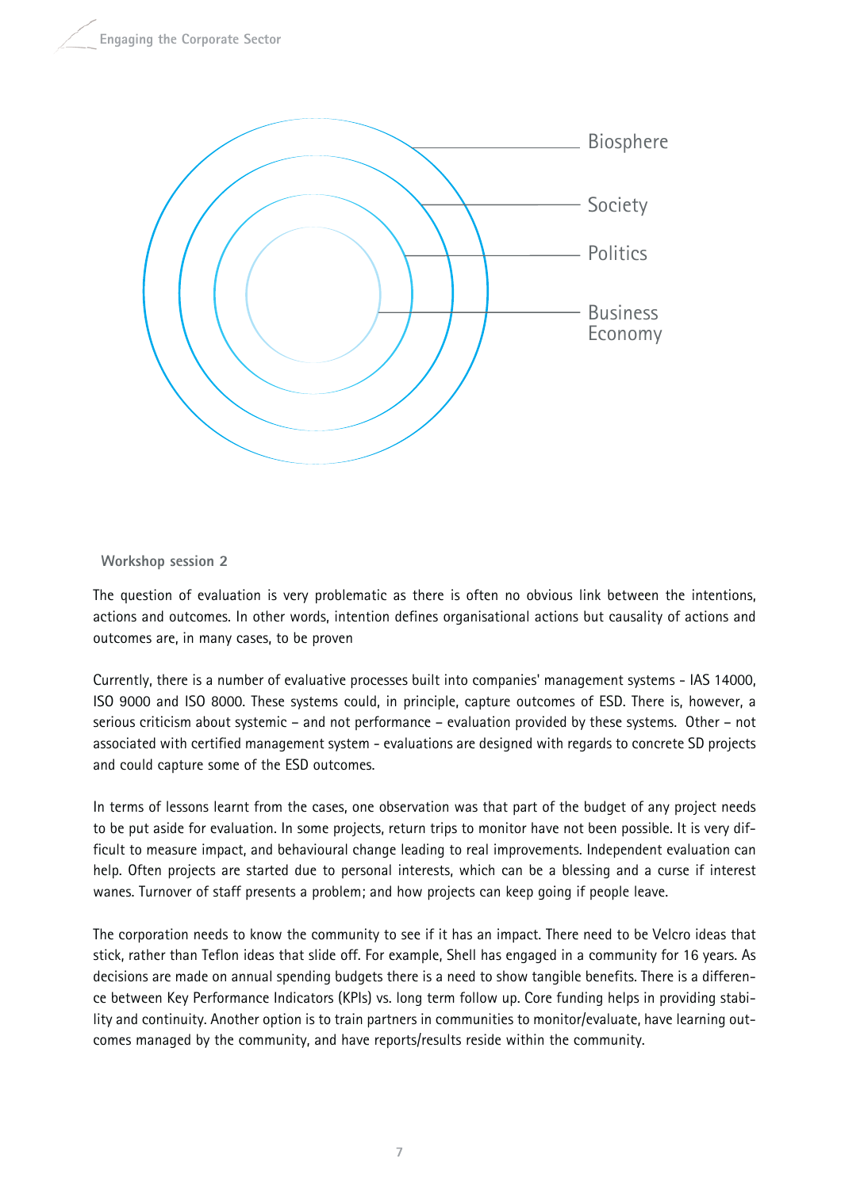

#### **Workshop session 2**

The question of evaluation is very problematic as there is often no obvious link between the intentions, actions and outcomes. In other words, intention defines organisational actions but causality of actions and outcomes are, in many cases, to be proven

Currently, there is a number of evaluative processes built into companies' management systems - IAS 14000, ISO 9000 and ISO 8000. These systems could, in principle, capture outcomes of ESD. There is, however, a serious criticism about systemic – and not performance – evaluation provided by these systems. Other – not associated with certified management system - evaluations are designed with regards to concrete SD projects and could capture some of the ESD outcomes.

In terms of lessons learnt from the cases, one observation was that part of the budget of any project needs to be put aside for evaluation. In some projects, return trips to monitor have not been possible. It is very difficult to measure impact, and behavioural change leading to real improvements. Independent evaluation can help. Often projects are started due to personal interests, which can be a blessing and a curse if interest wanes. Turnover of staff presents a problem; and how projects can keep going if people leave.

The corporation needs to know the community to see if it has an impact. There need to be Velcro ideas that stick, rather than Teflon ideas that slide off. For example, Shell has engaged in a community for 16 years. As decisions are made on annual spending budgets there is a need to show tangible benefits. There is a difference between Key Performance Indicators (KPIs) vs. long term follow up. Core funding helps in providing stability and continuity. Another option is to train partners in communities to monitor/evaluate, have learning outcomes managed by the community, and have reports/results reside within the community.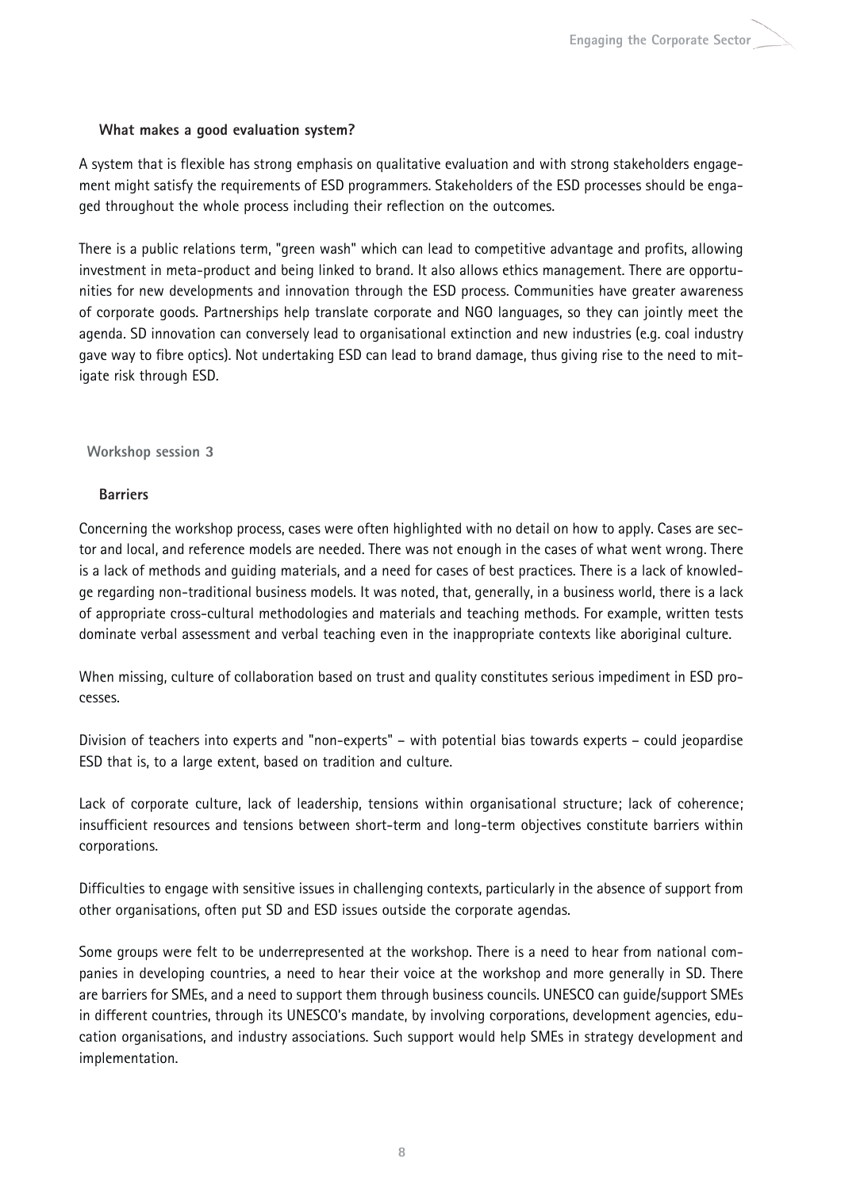#### **What makes a good evaluation system?**

A system that is flexible has strong emphasis on qualitative evaluation and with strong stakeholders engagement might satisfy the requirements of ESD programmers. Stakeholders of the ESD processes should be engaged throughout the whole process including their reflection on the outcomes.

There is a public relations term, "green wash" which can lead to competitive advantage and profits, allowing investment in meta-product and being linked to brand. It also allows ethics management. There are opportunities for new developments and innovation through the ESD process. Communities have greater awareness of corporate goods. Partnerships help translate corporate and NGO languages, so they can jointly meet the agenda. SD innovation can conversely lead to organisational extinction and new industries (e.g. coal industry gave way to fibre optics). Not undertaking ESD can lead to brand damage, thus giving rise to the need to mitigate risk through ESD.

### **Workshop session 3**

## **Barriers**

Concerning the workshop process, cases were often highlighted with no detail on how to apply. Cases are sector and local, and reference models are needed. There was not enough in the cases of what went wrong. There is a lack of methods and guiding materials, and a need for cases of best practices. There is a lack of knowledge regarding non-traditional business models. It was noted, that, generally, in a business world, there is a lack of appropriate cross-cultural methodologies and materials and teaching methods. For example, written tests dominate verbal assessment and verbal teaching even in the inappropriate contexts like aboriginal culture.

When missing, culture of collaboration based on trust and quality constitutes serious impediment in ESD processes.

Division of teachers into experts and "non-experts" – with potential bias towards experts – could jeopardise ESD that is, to a large extent, based on tradition and culture.

Lack of corporate culture, lack of leadership, tensions within organisational structure; lack of coherence; insufficient resources and tensions between short-term and long-term objectives constitute barriers within corporations.

Difficulties to engage with sensitive issues in challenging contexts, particularly in the absence of support from other organisations, often put SD and ESD issues outside the corporate agendas.

Some groups were felt to be underrepresented at the workshop. There is a need to hear from national companies in developing countries, a need to hear their voice at the workshop and more generally in SD. There are barriers for SMEs, and a need to support them through business councils. UNESCO can guide/support SMEs in different countries, through its UNESCO's mandate, by involving corporations, development agencies, education organisations, and industry associations. Such support would help SMEs in strategy development and implementation.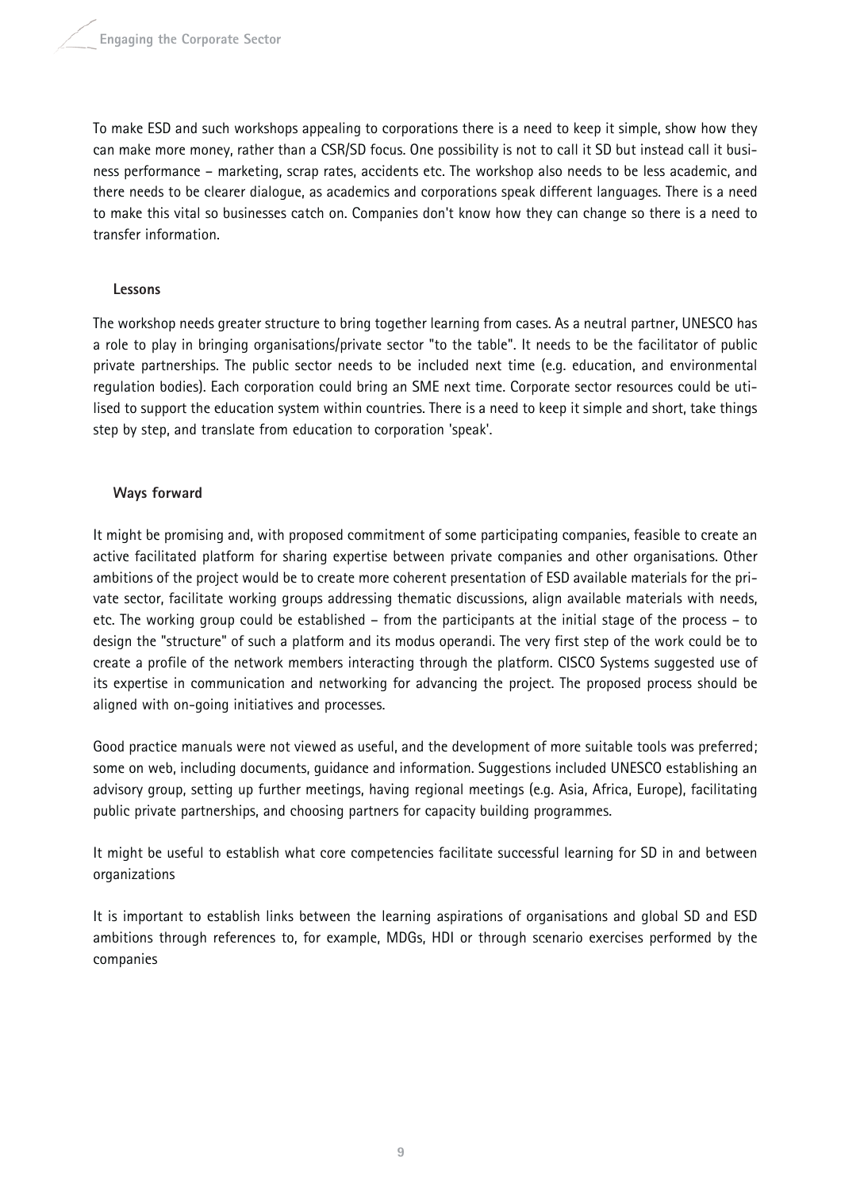To make ESD and such workshops appealing to corporations there is a need to keep it simple, show how they can make more money, rather than a CSR/SD focus. One possibility is not to call it SD but instead call it business performance – marketing, scrap rates, accidents etc. The workshop also needs to be less academic, and there needs to be clearer dialogue, as academics and corporations speak different languages. There is a need to make this vital so businesses catch on. Companies don't know how they can change so there is a need to transfer information.

### **Lessons**

The workshop needs greater structure to bring together learning from cases. As a neutral partner, UNESCO has a role to play in bringing organisations/private sector "to the table". It needs to be the facilitator of public private partnerships. The public sector needs to be included next time (e.g. education, and environmental regulation bodies). Each corporation could bring an SME next time. Corporate sector resources could be utilised to support the education system within countries. There is a need to keep it simple and short, take things step by step, and translate from education to corporation 'speak'.

### **Ways forward**

It might be promising and, with proposed commitment of some participating companies, feasible to create an active facilitated platform for sharing expertise between private companies and other organisations. Other ambitions of the project would be to create more coherent presentation of ESD available materials for the private sector, facilitate working groups addressing thematic discussions, align available materials with needs, etc. The working group could be established – from the participants at the initial stage of the process – to design the "structure" of such a platform and its modus operandi. The very first step of the work could be to create a profile of the network members interacting through the platform. CISCO Systems suggested use of its expertise in communication and networking for advancing the project. The proposed process should be aligned with on-going initiatives and processes.

Good practice manuals were not viewed as useful, and the development of more suitable tools was preferred; some on web, including documents, guidance and information. Suggestions included UNESCO establishing an advisory group, setting up further meetings, having regional meetings (e.g. Asia, Africa, Europe), facilitating public private partnerships, and choosing partners for capacity building programmes.

It might be useful to establish what core competencies facilitate successful learning for SD in and between organizations

It is important to establish links between the learning aspirations of organisations and global SD and ESD ambitions through references to, for example, MDGs, HDI or through scenario exercises performed by the companies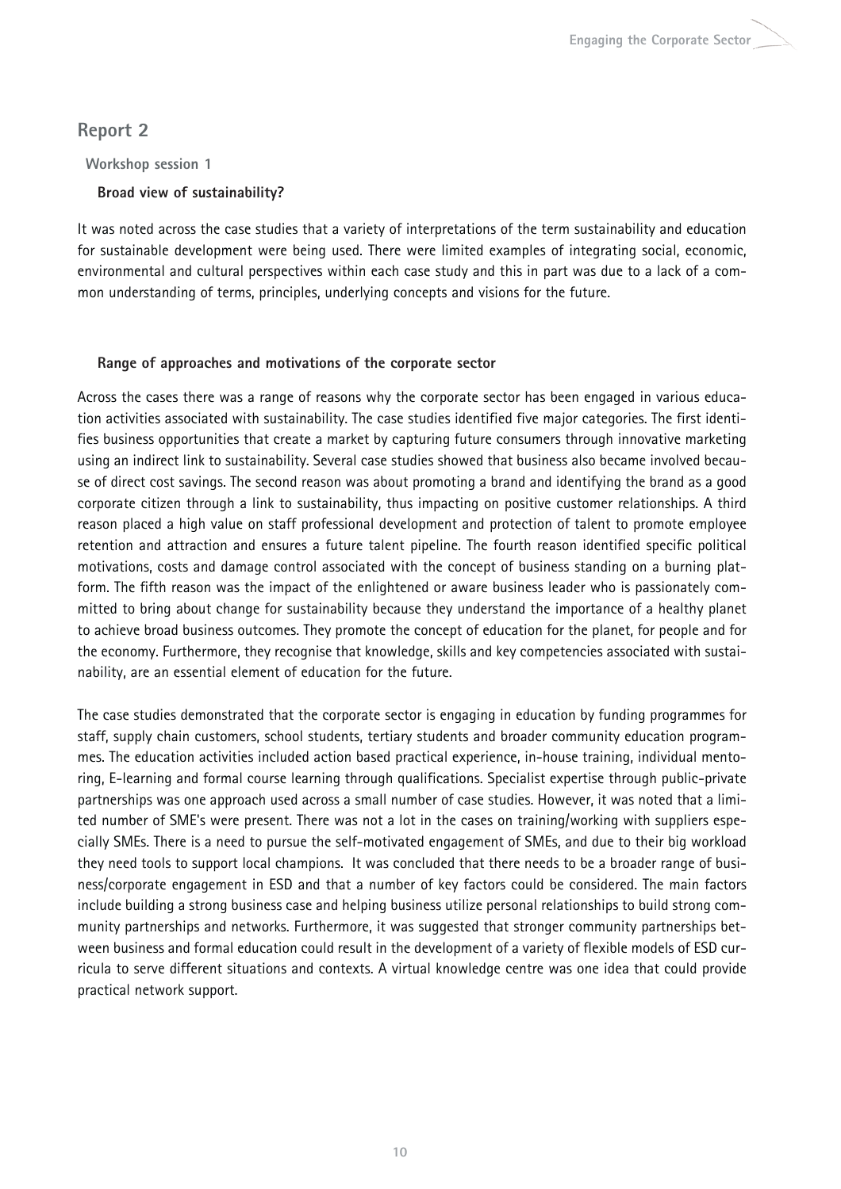## **Report 2**

**Workshop session 1** 

## **Broad view of sustainability?**

It was noted across the case studies that a variety of interpretations of the term sustainability and education for sustainable development were being used. There were limited examples of integrating social, economic, environmental and cultural perspectives within each case study and this in part was due to a lack of a common understanding of terms, principles, underlying concepts and visions for the future.

## **Range of approaches and motivations of the corporate sector**

Across the cases there was a range of reasons why the corporate sector has been engaged in various education activities associated with sustainability. The case studies identified five major categories. The first identifies business opportunities that create a market by capturing future consumers through innovative marketing using an indirect link to sustainability. Several case studies showed that business also became involved because of direct cost savings. The second reason was about promoting a brand and identifying the brand as a good corporate citizen through a link to sustainability, thus impacting on positive customer relationships. A third reason placed a high value on staff professional development and protection of talent to promote employee retention and attraction and ensures a future talent pipeline. The fourth reason identified specific political motivations, costs and damage control associated with the concept of business standing on a burning platform. The fifth reason was the impact of the enlightened or aware business leader who is passionately committed to bring about change for sustainability because they understand the importance of a healthy planet to achieve broad business outcomes. They promote the concept of education for the planet, for people and for the economy. Furthermore, they recognise that knowledge, skills and key competencies associated with sustainability, are an essential element of education for the future.

The case studies demonstrated that the corporate sector is engaging in education by funding programmes for staff, supply chain customers, school students, tertiary students and broader community education programmes. The education activities included action based practical experience, in-house training, individual mentoring, E-learning and formal course learning through qualifications. Specialist expertise through public-private partnerships was one approach used across a small number of case studies. However, it was noted that a limited number of SME's were present. There was not a lot in the cases on training/working with suppliers especially SMEs. There is a need to pursue the self-motivated engagement of SMEs, and due to their big workload they need tools to support local champions. It was concluded that there needs to be a broader range of business/corporate engagement in ESD and that a number of key factors could be considered. The main factors include building a strong business case and helping business utilize personal relationships to build strong community partnerships and networks. Furthermore, it was suggested that stronger community partnerships between business and formal education could result in the development of a variety of flexible models of ESD curricula to serve different situations and contexts. A virtual knowledge centre was one idea that could provide practical network support.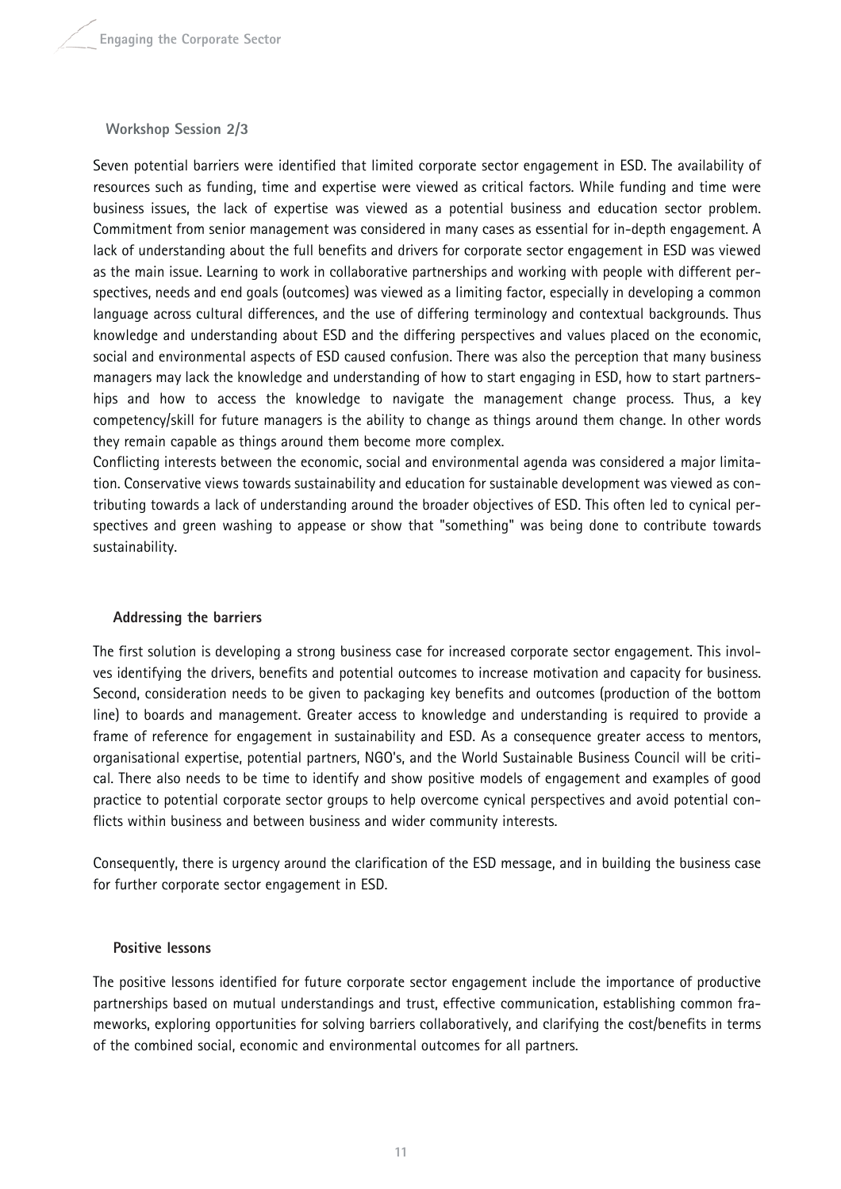#### **Workshop Session 2/3**

Seven potential barriers were identified that limited corporate sector engagement in ESD. The availability of resources such as funding, time and expertise were viewed as critical factors. While funding and time were business issues, the lack of expertise was viewed as a potential business and education sector problem. Commitment from senior management was considered in many cases as essential for in-depth engagement. A lack of understanding about the full benefits and drivers for corporate sector engagement in ESD was viewed as the main issue. Learning to work in collaborative partnerships and working with people with different perspectives, needs and end goals (outcomes) was viewed as a limiting factor, especially in developing a common language across cultural differences, and the use of differing terminology and contextual backgrounds. Thus knowledge and understanding about ESD and the differing perspectives and values placed on the economic, social and environmental aspects of ESD caused confusion. There was also the perception that many business managers may lack the knowledge and understanding of how to start engaging in ESD, how to start partnerships and how to access the knowledge to navigate the management change process. Thus, a key competency/skill for future managers is the ability to change as things around them change. In other words they remain capable as things around them become more complex.

Conflicting interests between the economic, social and environmental agenda was considered a major limitation. Conservative views towards sustainability and education for sustainable development was viewed as contributing towards a lack of understanding around the broader objectives of ESD. This often led to cynical perspectives and green washing to appease or show that "something" was being done to contribute towards sustainability.

#### **Addressing the barriers**

The first solution is developing a strong business case for increased corporate sector engagement. This involves identifying the drivers, benefits and potential outcomes to increase motivation and capacity for business. Second, consideration needs to be given to packaging key benefits and outcomes (production of the bottom line) to boards and management. Greater access to knowledge and understanding is required to provide a frame of reference for engagement in sustainability and ESD. As a consequence greater access to mentors, organisational expertise, potential partners, NGO's, and the World Sustainable Business Council will be critical. There also needs to be time to identify and show positive models of engagement and examples of good practice to potential corporate sector groups to help overcome cynical perspectives and avoid potential conflicts within business and between business and wider community interests.

Consequently, there is urgency around the clarification of the ESD message, and in building the business case for further corporate sector engagement in ESD.

#### **Positive lessons**

The positive lessons identified for future corporate sector engagement include the importance of productive partnerships based on mutual understandings and trust, effective communication, establishing common frameworks, exploring opportunities for solving barriers collaboratively, and clarifying the cost/benefits in terms of the combined social, economic and environmental outcomes for all partners.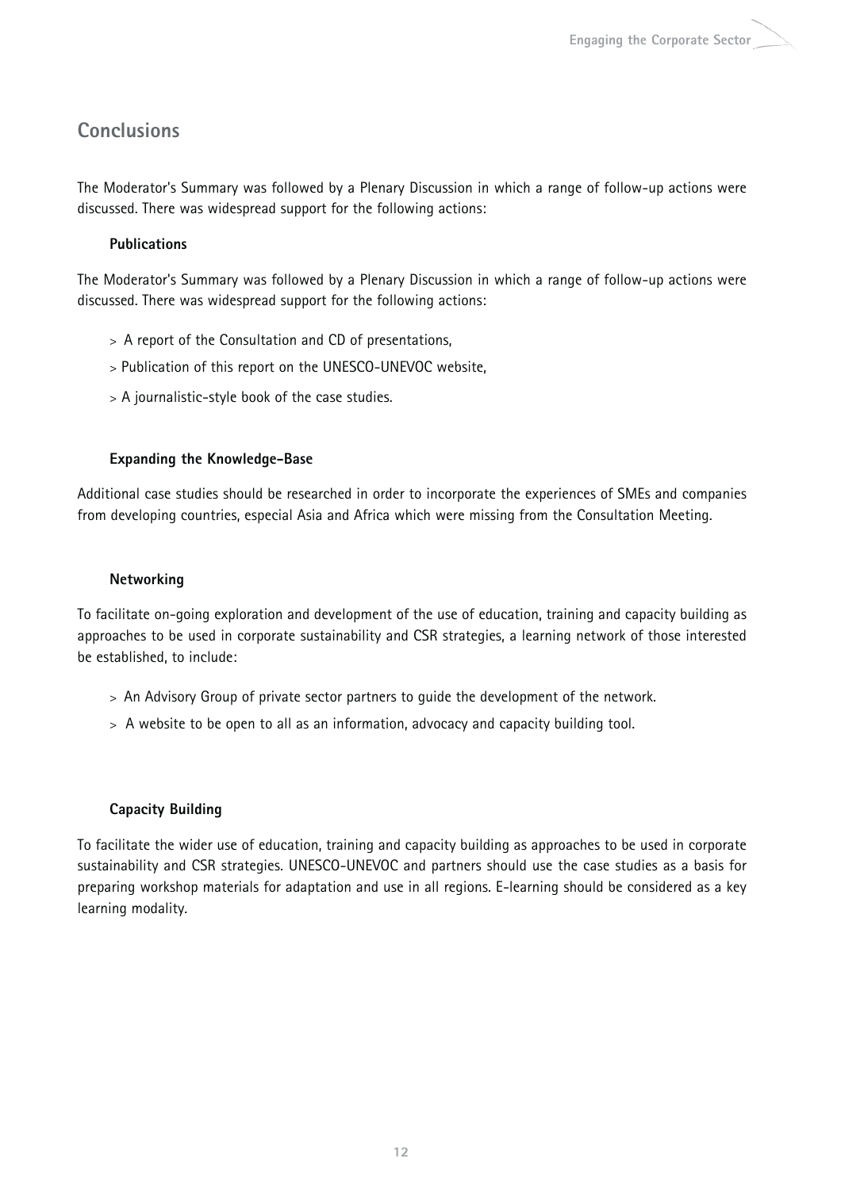## **Conclusions**

The Moderator's Summary was followed by a Plenary Discussion in which a range of follow-up actions were discussed. There was widespread support for the following actions:

## **Publications**

The Moderator's Summary was followed by a Plenary Discussion in which a range of follow-up actions were discussed. There was widespread support for the following actions:

- > A report of the Consultation and CD of presentations,
- > Publication of this report on the UNESCO-UNEVOC website,
- > A journalistic-style book of the case studies.

## **Expanding the Knowledge-Base**

Additional case studies should be researched in order to incorporate the experiences of SMEs and companies from developing countries, especial Asia and Africa which were missing from the Consultation Meeting.

## **Networking**

To facilitate on-going exploration and development of the use of education, training and capacity building as approaches to be used in corporate sustainability and CSR strategies, a learning network of those interested be established, to include:

- > An Advisory Group of private sector partners to guide the development of the network.
- > A website to be open to all as an information, advocacy and capacity building tool.

## **Capacity Building**

To facilitate the wider use of education, training and capacity building as approaches to be used in corporate sustainability and CSR strategies. UNESCO-UNEVOC and partners should use the case studies as a basis for preparing workshop materials for adaptation and use in all regions. E-learning should be considered as a key learning modality.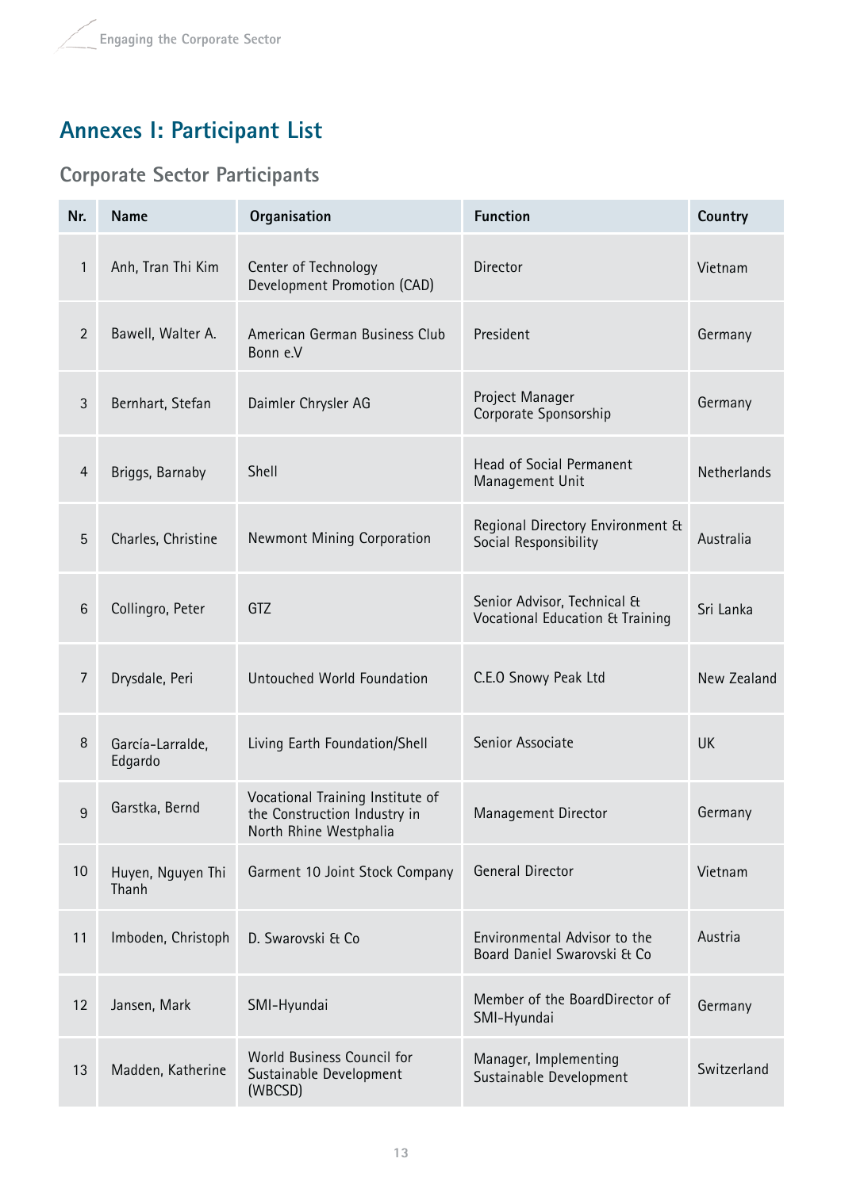# **Annexes I: Participant List**

## **Corporate Sector Participants**

| Nr.             | <b>Name</b>                 | Organisation                                                                               | <b>Function</b>                                                | Country     |
|-----------------|-----------------------------|--------------------------------------------------------------------------------------------|----------------------------------------------------------------|-------------|
| $\mathbf{1}$    | Anh, Tran Thi Kim           | Center of Technology<br>Development Promotion (CAD)                                        | <b>Director</b>                                                | Vietnam     |
| $\overline{2}$  | Bawell, Walter A.           | American German Business Club<br>Bonn e.V                                                  | President                                                      | Germany     |
| 3               | Bernhart, Stefan            | Daimler Chrysler AG                                                                        | Project Manager<br>Corporate Sponsorship                       | Germany     |
| 4               | Briggs, Barnaby             | Shell                                                                                      | Head of Social Permanent<br>Management Unit                    | Netherlands |
| 5               | Charles, Christine          | Newmont Mining Corporation                                                                 | Regional Directory Environment &<br>Social Responsibility      | Australia   |
| $6\phantom{1}6$ | Collingro, Peter            | GTZ                                                                                        | Senior Advisor, Technical &<br>Vocational Education & Training | Sri Lanka   |
| 7               | Drysdale, Peri              | Untouched World Foundation                                                                 | C.E.O Snowy Peak Ltd                                           | New Zealand |
| 8               | García-Larralde,<br>Edgardo | Living Earth Foundation/Shell                                                              | Senior Associate                                               | <b>UK</b>   |
| 9               | Garstka, Bernd              | Vocational Training Institute of<br>the Construction Industry in<br>North Rhine Westphalia | Management Director                                            | Germany     |
| 10              | Huyen, Nguyen Thi<br>Thanh  | Garment 10 Joint Stock Company                                                             | General Director                                               | Vietnam     |
| 11              | Imboden, Christoph          | D. Swarovski & Co                                                                          | Environmental Advisor to the<br>Board Daniel Swarovski & Co    | Austria     |
| 12              | Jansen, Mark                | SMI-Hyundai                                                                                | Member of the BoardDirector of<br>SMI-Hyundai                  | Germany     |
| 13              | Madden, Katherine           | World Business Council for<br>Sustainable Development<br>(WBCSD)                           | Manager, Implementing<br>Sustainable Development               | Switzerland |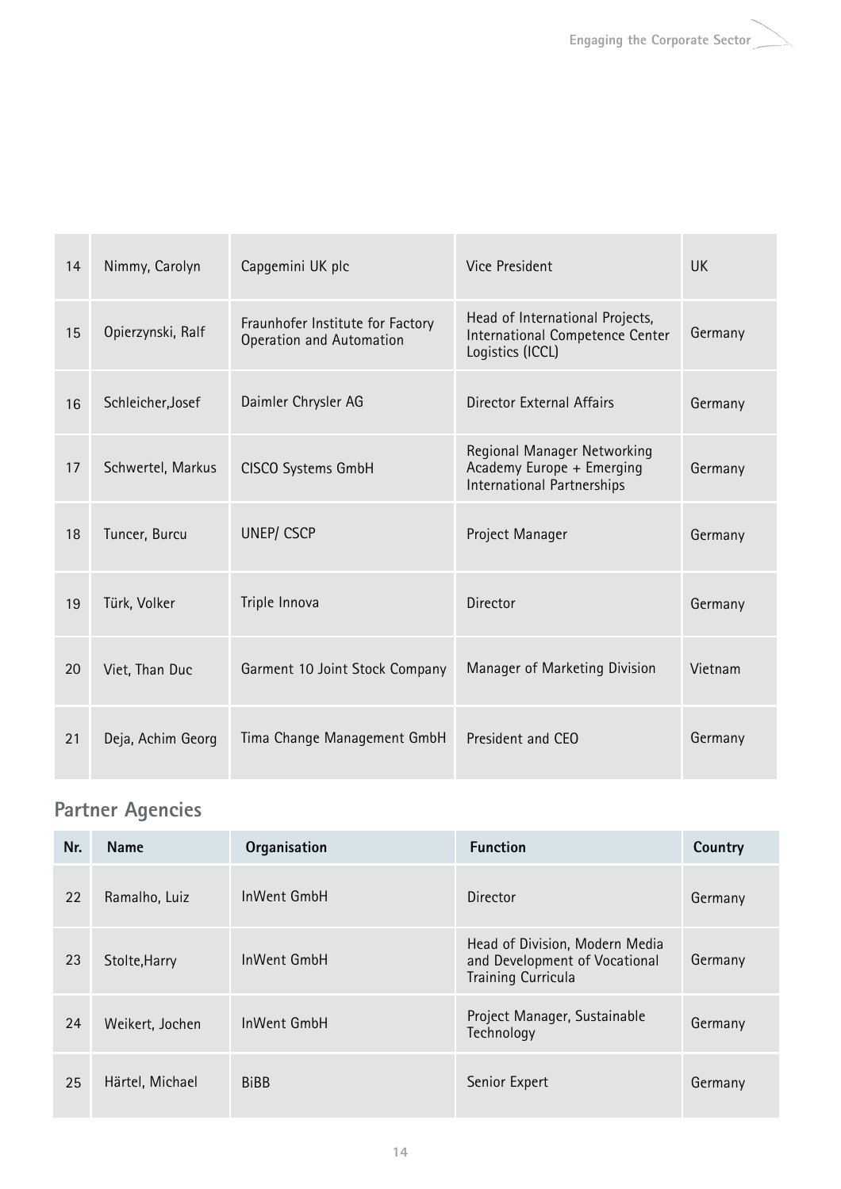| 14 | Nimmy, Carolyn    | Capgemini UK plc                                             | Vice President                                                                         | <b>UK</b> |
|----|-------------------|--------------------------------------------------------------|----------------------------------------------------------------------------------------|-----------|
| 15 | Opierzynski, Ralf | Fraunhofer Institute for Factory<br>Operation and Automation | Head of International Projects,<br>International Competence Center<br>Logistics (ICCL) | Germany   |
| 16 | Schleicher, Josef | Daimler Chrysler AG                                          | Director External Affairs                                                              | Germany   |
| 17 | Schwertel, Markus | CISCO Systems GmbH                                           | Regional Manager Networking<br>Academy Europe + Emerging<br>International Partnerships | Germany   |
| 18 | Tuncer, Burcu     | <b>UNEP/CSCP</b>                                             | Project Manager                                                                        | Germany   |
| 19 | Türk, Volker      | Triple Innova                                                | Director                                                                               | Germany   |
| 20 | Viet, Than Duc    | Garment 10 Joint Stock Company                               | Manager of Marketing Division                                                          | Vietnam   |
| 21 | Deja, Achim Georg | Tima Change Management GmbH                                  | President and CEO                                                                      | Germany   |

# **Partner Agencies**

| Nr. | <b>Name</b>     | Organisation | <b>Function</b>                                                                              | Country |
|-----|-----------------|--------------|----------------------------------------------------------------------------------------------|---------|
| 22  | Ramalho, Luiz   | InWent GmbH  | Director                                                                                     | Germany |
| 23  | Stolte, Harry   | InWent GmbH  | Head of Division, Modern Media<br>and Development of Vocational<br><b>Training Curricula</b> | Germany |
| 24  | Weikert, Jochen | InWent GmbH  | Project Manager, Sustainable<br>Technology                                                   | Germany |
| 25  | Härtel, Michael | <b>BiBB</b>  | Senior Expert                                                                                | Germany |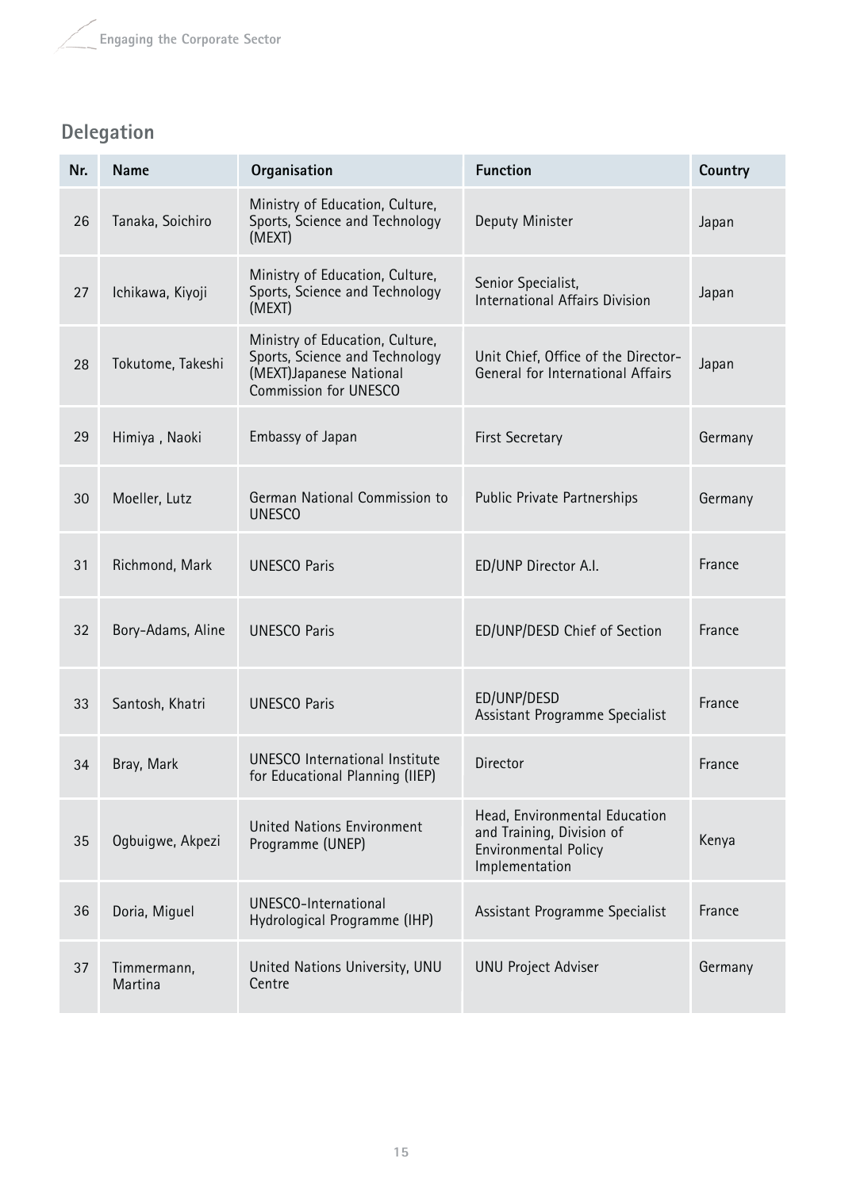## **Delegation**

| Nr. | <b>Name</b>            | Organisation                                                                                                          | <b>Function</b>                                                                                             | Country |
|-----|------------------------|-----------------------------------------------------------------------------------------------------------------------|-------------------------------------------------------------------------------------------------------------|---------|
| 26  | Tanaka, Soichiro       | Ministry of Education, Culture,<br>Sports, Science and Technology<br>(MEXT)                                           | Deputy Minister                                                                                             | Japan   |
| 27  | Ichikawa, Kiyoji       | Ministry of Education, Culture,<br>Sports, Science and Technology<br>(MEXT)                                           | Senior Specialist,<br>International Affairs Division                                                        | Japan   |
| 28  | Tokutome, Takeshi      | Ministry of Education, Culture,<br>Sports, Science and Technology<br>(MEXT)Japanese National<br>Commission for UNESCO | Unit Chief, Office of the Director-<br>General for International Affairs                                    | Japan   |
| 29  | Himiya, Naoki          | Embassy of Japan                                                                                                      | <b>First Secretary</b>                                                                                      | Germany |
| 30  | Moeller, Lutz          | German National Commission to<br><b>UNESCO</b>                                                                        | <b>Public Private Partnerships</b>                                                                          | Germany |
| 31  | Richmond, Mark         | <b>UNESCO Paris</b>                                                                                                   | ED/UNP Director A.I.                                                                                        | France  |
| 32  | Bory-Adams, Aline      | <b>UNESCO Paris</b>                                                                                                   | ED/UNP/DESD Chief of Section                                                                                | France  |
| 33  | Santosh, Khatri        | <b>UNESCO Paris</b>                                                                                                   | ED/UNP/DESD<br>Assistant Programme Specialist                                                               | France  |
| 34  | Bray, Mark             | <b>UNESCO</b> International Institute<br>for Educational Planning (IIEP)                                              | <b>Director</b>                                                                                             | France  |
| 35  | Ogbuigwe, Akpezi       | <b>United Nations Environment</b><br>Programme (UNEP)                                                                 | Head, Environmental Education<br>and Training, Division of<br><b>Environmental Policy</b><br>Implementation | Kenya   |
| 36  | Doria, Miguel          | UNESCO-International<br>Hydrological Programme (IHP)                                                                  | Assistant Programme Specialist                                                                              | France  |
| 37  | Timmermann,<br>Martina | United Nations University, UNU<br>Centre                                                                              | <b>UNU Project Adviser</b>                                                                                  | Germany |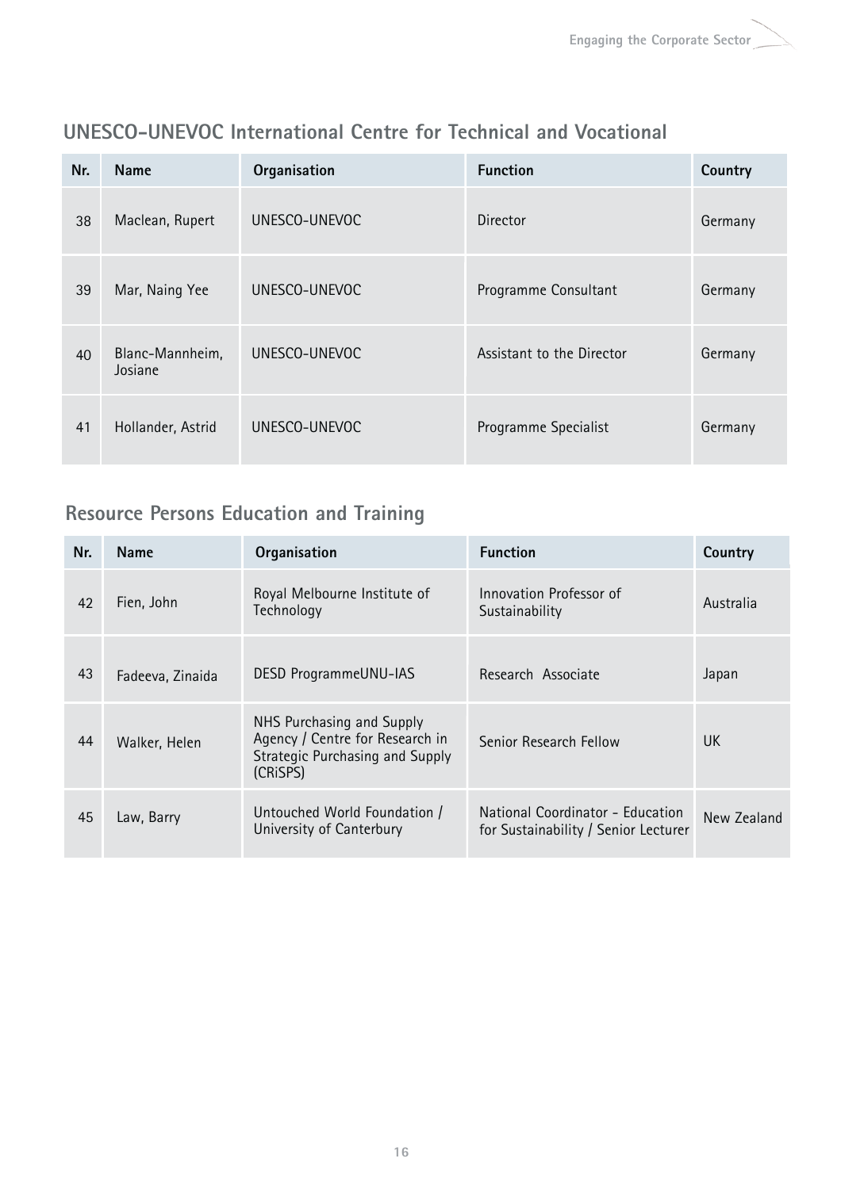| Nr. | <b>Name</b>                | Organisation  | <b>Function</b>           | Country |
|-----|----------------------------|---------------|---------------------------|---------|
| 38  | Maclean, Rupert            | UNESCO-UNEVOC | Director                  | Germany |
| 39  | Mar, Naing Yee             | UNESCO-UNEVOC | Programme Consultant      | Germany |
| 40  | Blanc-Mannheim,<br>Josiane | UNESCO-UNEVOC | Assistant to the Director | Germany |
| 41  | Hollander, Astrid          | UNESCO-UNEVOC | Programme Specialist      | Germany |

## **UNESCO-UNEVOC International Centre for Technical and Vocational**

## **Resource Persons Education and Training**

| Nr. | <b>Name</b>      | Organisation                                                                                                | <b>Function</b>                                                          | Country     |
|-----|------------------|-------------------------------------------------------------------------------------------------------------|--------------------------------------------------------------------------|-------------|
| 42  | Fien, John       | Royal Melbourne Institute of<br>Technology                                                                  | Innovation Professor of<br>Sustainability                                | Australia   |
| 43  | Fadeeva, Zinaida | <b>DESD ProgrammeUNU-IAS</b>                                                                                | Research Associate                                                       | Japan       |
| 44  | Walker, Helen    | NHS Purchasing and Supply<br>Agency / Centre for Research in<br>Strategic Purchasing and Supply<br>(CRISPS) | Senior Research Fellow                                                   | <b>UK</b>   |
| 45  | Law, Barry       | Untouched World Foundation /<br>University of Canterbury                                                    | National Coordinator - Education<br>for Sustainability / Senior Lecturer | New Zealand |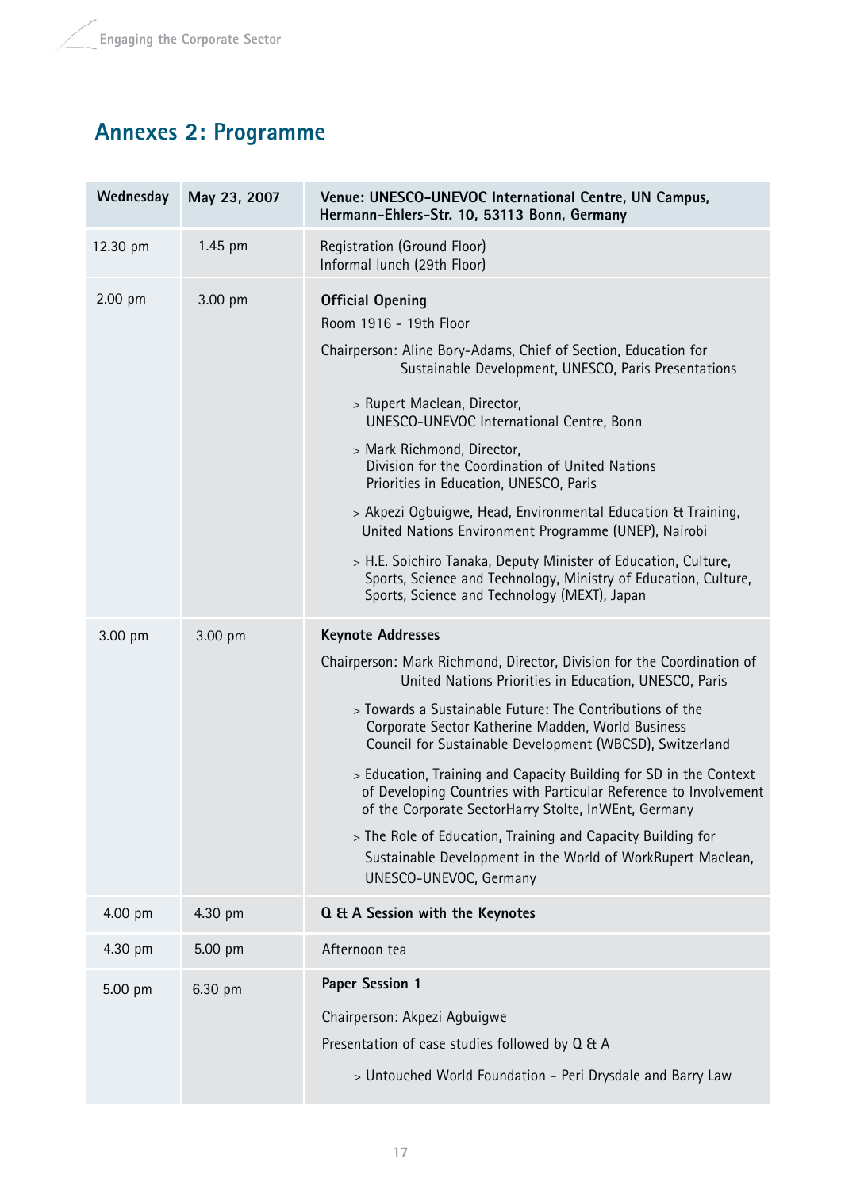# **Annexes 2: Programme**

| Wednesday | May 23, 2007 | Venue: UNESCO-UNEVOC International Centre, UN Campus,<br>Hermann-Ehlers-Str. 10, 53113 Bonn, Germany                                                                                                                                                                                                                                                                                                                                                                                                                                                                                                                                                                                              |
|-----------|--------------|---------------------------------------------------------------------------------------------------------------------------------------------------------------------------------------------------------------------------------------------------------------------------------------------------------------------------------------------------------------------------------------------------------------------------------------------------------------------------------------------------------------------------------------------------------------------------------------------------------------------------------------------------------------------------------------------------|
| 12.30 pm  | 1.45 pm      | Registration (Ground Floor)<br>Informal lunch (29th Floor)                                                                                                                                                                                                                                                                                                                                                                                                                                                                                                                                                                                                                                        |
| 2.00 pm   | 3.00 pm      | <b>Official Opening</b><br>Room 1916 - 19th Floor<br>Chairperson: Aline Bory-Adams, Chief of Section, Education for<br>Sustainable Development, UNESCO, Paris Presentations<br>> Rupert Maclean, Director,<br>UNESCO-UNEVOC International Centre, Bonn<br>> Mark Richmond, Director,<br>Division for the Coordination of United Nations<br>Priorities in Education, UNESCO, Paris<br>> Akpezi Ogbuigwe, Head, Environmental Education & Training,<br>United Nations Environment Programme (UNEP), Nairobi<br>> H.E. Soichiro Tanaka, Deputy Minister of Education, Culture,<br>Sports, Science and Technology, Ministry of Education, Culture,<br>Sports, Science and Technology (MEXT), Japan    |
| 3.00 pm   | 3.00 pm      | <b>Keynote Addresses</b><br>Chairperson: Mark Richmond, Director, Division for the Coordination of<br>United Nations Priorities in Education, UNESCO, Paris<br>> Towards a Sustainable Future: The Contributions of the<br>Corporate Sector Katherine Madden, World Business<br>Council for Sustainable Development (WBCSD), Switzerland<br>> Education, Training and Capacity Building for SD in the Context<br>of Developing Countries with Particular Reference to Involvement<br>of the Corporate SectorHarry Stolte, InWEnt, Germany<br>> The Role of Education, Training and Capacity Building for<br>Sustainable Development in the World of WorkRupert Maclean,<br>UNESCO-UNEVOC, Germany |
| 4.00 pm   | 4.30 pm      | Q & A Session with the Keynotes                                                                                                                                                                                                                                                                                                                                                                                                                                                                                                                                                                                                                                                                   |
| 4.30 pm   | 5.00 pm      | Afternoon tea                                                                                                                                                                                                                                                                                                                                                                                                                                                                                                                                                                                                                                                                                     |
| 5.00 pm   | 6.30 pm      | Paper Session 1<br>Chairperson: Akpezi Agbuigwe<br>Presentation of case studies followed by Q & A<br>> Untouched World Foundation - Peri Drysdale and Barry Law                                                                                                                                                                                                                                                                                                                                                                                                                                                                                                                                   |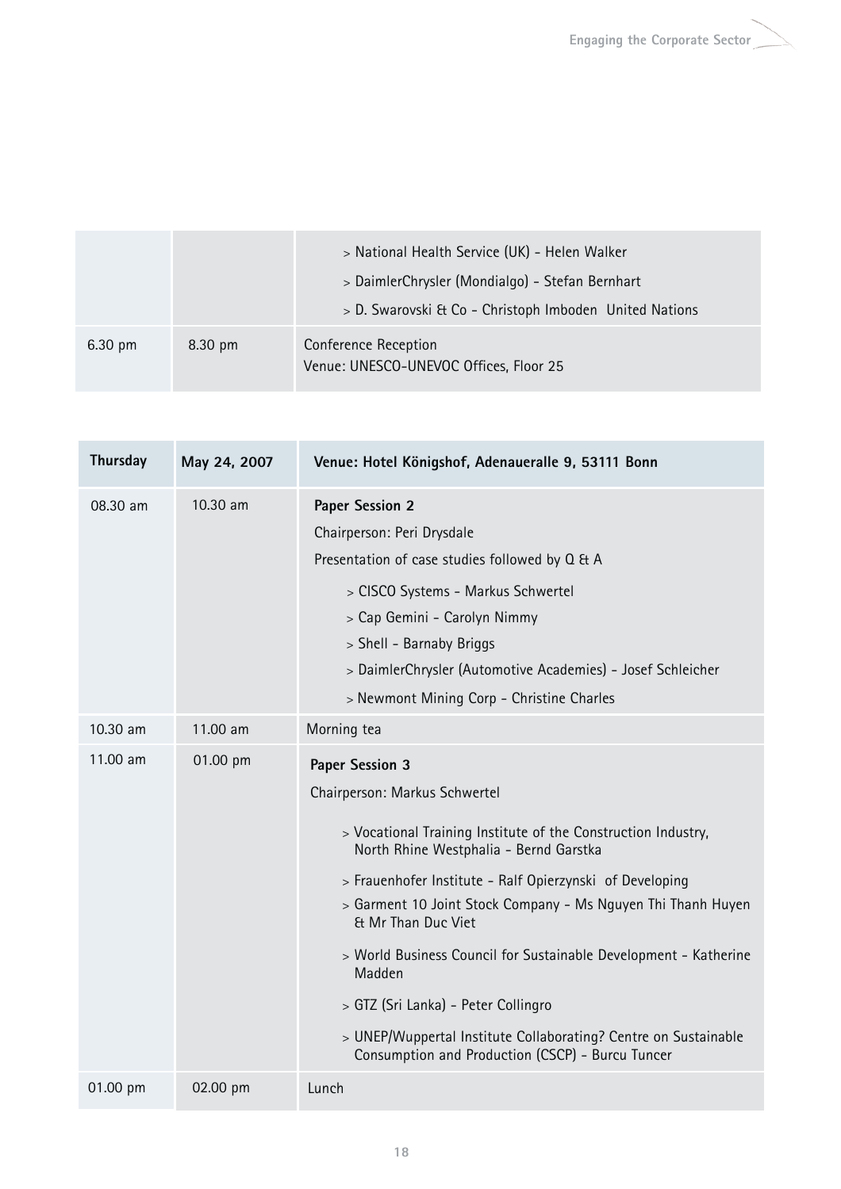|                   |                   | > National Health Service (UK) - Helen Walker<br>> DaimlerChrysler (Mondialgo) - Stefan Bernhart<br>> D. Swarovski & Co - Christoph Imboden United Nations |
|-------------------|-------------------|------------------------------------------------------------------------------------------------------------------------------------------------------------|
| $6.30 \text{ pm}$ | $8.30 \text{ pm}$ | Conference Reception<br>Venue: UNESCO-UNEVOC Offices, Floor 25                                                                                             |

| Thursday | May 24, 2007 | Venue: Hotel Königshof, Adenaueralle 9, 53111 Bonn                                                                                                                                                                                                                                                                                                                                                                                                                                                                                                                |
|----------|--------------|-------------------------------------------------------------------------------------------------------------------------------------------------------------------------------------------------------------------------------------------------------------------------------------------------------------------------------------------------------------------------------------------------------------------------------------------------------------------------------------------------------------------------------------------------------------------|
| 08.30 am | 10.30 am     | <b>Paper Session 2</b><br>Chairperson: Peri Drysdale<br>Presentation of case studies followed by Q & A<br>> CISCO Systems - Markus Schwertel<br>> Cap Gemini - Carolyn Nimmy<br>> Shell - Barnaby Briggs<br>> DaimlerChrysler (Automotive Academies) - Josef Schleicher<br>> Newmont Mining Corp - Christine Charles                                                                                                                                                                                                                                              |
| 10.30 am | 11.00 am     | Morning tea                                                                                                                                                                                                                                                                                                                                                                                                                                                                                                                                                       |
| 11.00 am | 01.00 pm     | <b>Paper Session 3</b><br>Chairperson: Markus Schwertel<br>> Vocational Training Institute of the Construction Industry,<br>North Rhine Westphalia - Bernd Garstka<br>> Frauenhofer Institute - Ralf Opierzynski of Developing<br>> Garment 10 Joint Stock Company - Ms Nguyen Thi Thanh Huyen<br>Et Mr Than Duc Viet<br>> World Business Council for Sustainable Development - Katherine<br>Madden<br>> GTZ (Sri Lanka) - Peter Collingro<br>> UNEP/Wuppertal Institute Collaborating? Centre on Sustainable<br>Consumption and Production (CSCP) - Burcu Tuncer |
| 01.00 pm | 02.00 pm     | Lunch                                                                                                                                                                                                                                                                                                                                                                                                                                                                                                                                                             |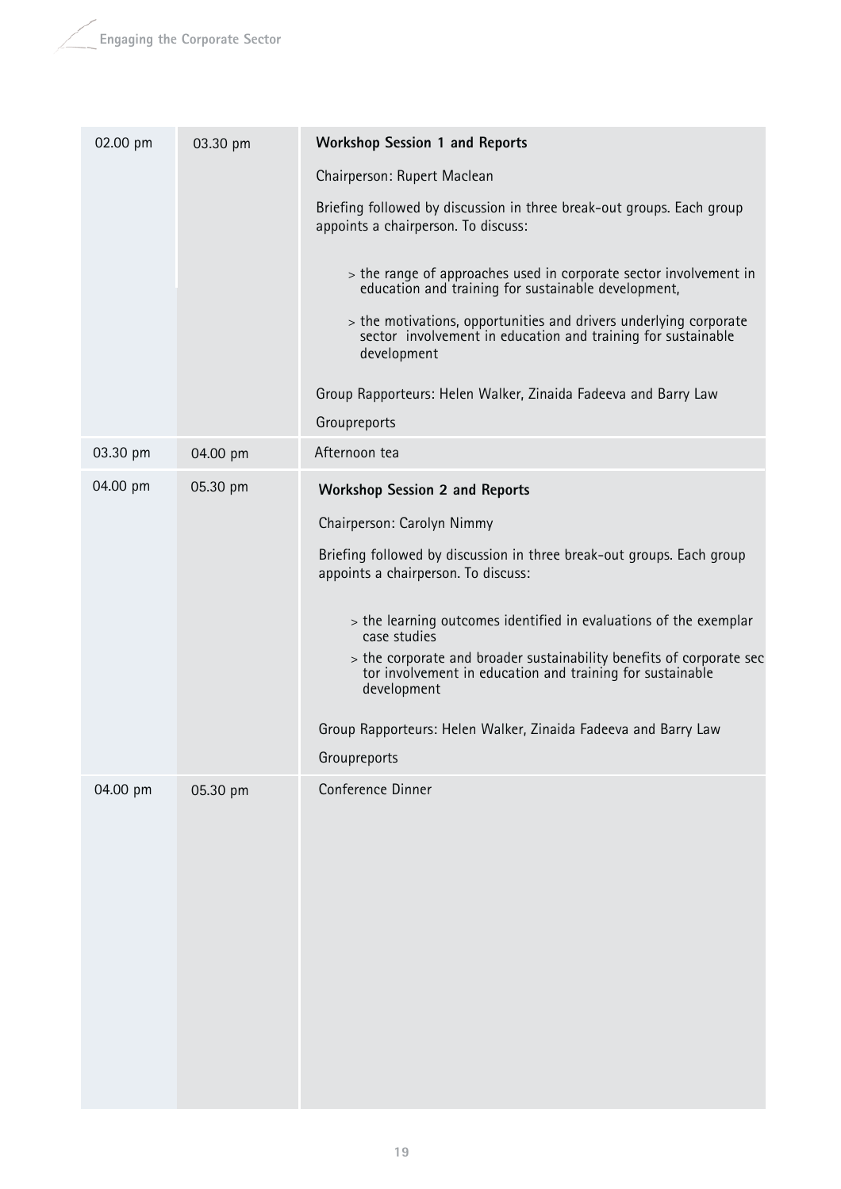| 02.00 pm | 03.30 pm | <b>Workshop Session 1 and Reports</b>                                                                                                            |
|----------|----------|--------------------------------------------------------------------------------------------------------------------------------------------------|
|          |          | Chairperson: Rupert Maclean                                                                                                                      |
|          |          | Briefing followed by discussion in three break-out groups. Each group<br>appoints a chairperson. To discuss:                                     |
|          |          | > the range of approaches used in corporate sector involvement in<br>education and training for sustainable development,                         |
|          |          | > the motivations, opportunities and drivers underlying corporate<br>sector involvement in education and training for sustainable<br>development |
|          |          | Group Rapporteurs: Helen Walker, Zinaida Fadeeva and Barry Law                                                                                   |
|          |          | Groupreports                                                                                                                                     |
| 03.30 pm | 04.00 pm | Afternoon tea                                                                                                                                    |
| 04.00 pm | 05.30 pm | <b>Workshop Session 2 and Reports</b>                                                                                                            |
|          |          | Chairperson: Carolyn Nimmy                                                                                                                       |
|          |          | Briefing followed by discussion in three break-out groups. Each group<br>appoints a chairperson. To discuss:                                     |
|          |          | > the learning outcomes identified in evaluations of the exemplar<br>case studies                                                                |
|          |          | > the corporate and broader sustainability benefits of corporate sec<br>tor involvement in education and training for sustainable<br>development |
|          |          | Group Rapporteurs: Helen Walker, Zinaida Fadeeva and Barry Law                                                                                   |
|          |          | Groupreports                                                                                                                                     |
| 04.00 pm | 05.30 pm | Conference Dinner                                                                                                                                |
|          |          |                                                                                                                                                  |
|          |          |                                                                                                                                                  |
|          |          |                                                                                                                                                  |
|          |          |                                                                                                                                                  |
|          |          |                                                                                                                                                  |
|          |          |                                                                                                                                                  |
|          |          |                                                                                                                                                  |
|          |          |                                                                                                                                                  |
|          |          |                                                                                                                                                  |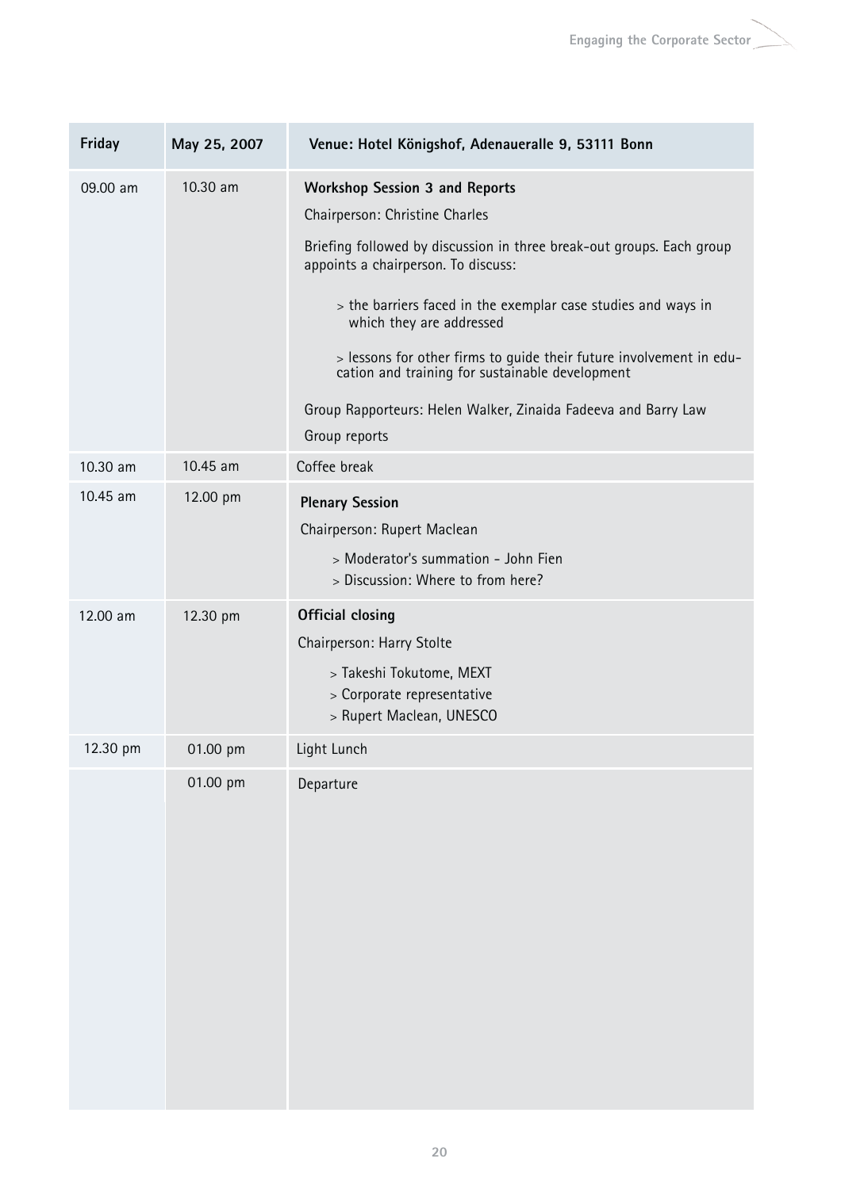| Friday   | May 25, 2007 | Venue: Hotel Königshof, Adenaueralle 9, 53111 Bonn                                                                                                                                                                                                                                                                                                                                                                                                                                                |
|----------|--------------|---------------------------------------------------------------------------------------------------------------------------------------------------------------------------------------------------------------------------------------------------------------------------------------------------------------------------------------------------------------------------------------------------------------------------------------------------------------------------------------------------|
| 09.00 am | 10.30 am     | <b>Workshop Session 3 and Reports</b><br>Chairperson: Christine Charles<br>Briefing followed by discussion in three break-out groups. Each group<br>appoints a chairperson. To discuss:<br>> the barriers faced in the exemplar case studies and ways in<br>which they are addressed<br>> lessons for other firms to guide their future involvement in edu-<br>cation and training for sustainable development<br>Group Rapporteurs: Helen Walker, Zinaida Fadeeva and Barry Law<br>Group reports |
| 10.30 am | 10.45 am     | Coffee break                                                                                                                                                                                                                                                                                                                                                                                                                                                                                      |
| 10.45 am | 12.00 pm     | <b>Plenary Session</b><br>Chairperson: Rupert Maclean<br>> Moderator's summation - John Fien<br>> Discussion: Where to from here?                                                                                                                                                                                                                                                                                                                                                                 |
| 12.00 am | 12.30 pm     | <b>Official closing</b><br>Chairperson: Harry Stolte<br>> Takeshi Tokutome, MEXT<br>> Corporate representative<br>> Rupert Maclean, UNESCO                                                                                                                                                                                                                                                                                                                                                        |
| 12.30 pm | 01.00 pm     | Light Lunch                                                                                                                                                                                                                                                                                                                                                                                                                                                                                       |
|          | 01.00 pm     | Departure                                                                                                                                                                                                                                                                                                                                                                                                                                                                                         |